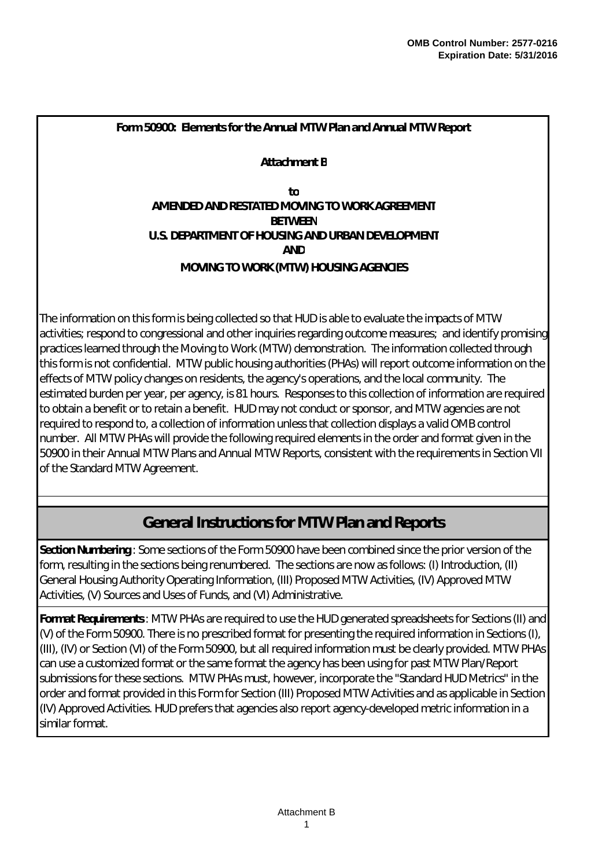**Attachment B**

**U.S. DEPARTMENT OF HOUSING AND URBAN DEVELOPMENT AND MOVING TO WORK (MTW) HOUSING AGENCIES to AMENDED AND RESTATED MOVING TO WORK AGREEMENT BETWEEN**

The information on this form is being collected so that HUD is able to evaluate the impacts of MTW activities; respond to congressional and other inquiries regarding outcome measures; and identify promising practices learned through the Moving to Work (MTW) demonstration. The information collected through this form is not confidential. MTW public housing authorities (PHAs) will report outcome information on the effects of MTW policy changes on residents, the agency's operations, and the local community. The estimated burden per year, per agency, is 81 hours. Responses to this collection of information are required to obtain a benefit or to retain a benefit. HUD may not conduct or sponsor, and MTW agencies are not required to respond to, a collection of information unless that collection displays a valid OMB control number. All MTW PHAs will provide the following required elements in the order and format given in the 50900 in their Annual MTW Plans and Annual MTW Reports, consistent with the requirements in Section VII of the Standard MTW Agreement.

# **General Instructions for MTW Plan and Reports**

*Section Numbering* : Some sections of the Form 50900 have been combined since the prior version of the form, resulting in the sections being renumbered. The sections are now as follows: (I) Introduction, (II) General Housing Authority Operating Information, (III) Proposed MTW Activities, (IV) Approved MTW Activities, (V) Sources and Uses of Funds, and (VI) Administrative.

*Format Requirements*: MTW PHAs are required to use the HUD generated spreadsheets for Sections (II) and (V) of the Form 50900. There is no prescribed format for presenting the required information in Sections (I), (III), (IV) or Section (VI) of the Form 50900, but all required information must be clearly provided. MTW PHAs can use a customized format or the same format the agency has been using for past MTW Plan/Report submissions for these sections. MTW PHAs must, however, incorporate the "Standard HUD Metrics" in the order and format provided in this Form for Section (III) Proposed MTW Activities and as applicable in Section (IV) Approved Activities. HUD prefers that agencies also report agency-developed metric information in a similar format.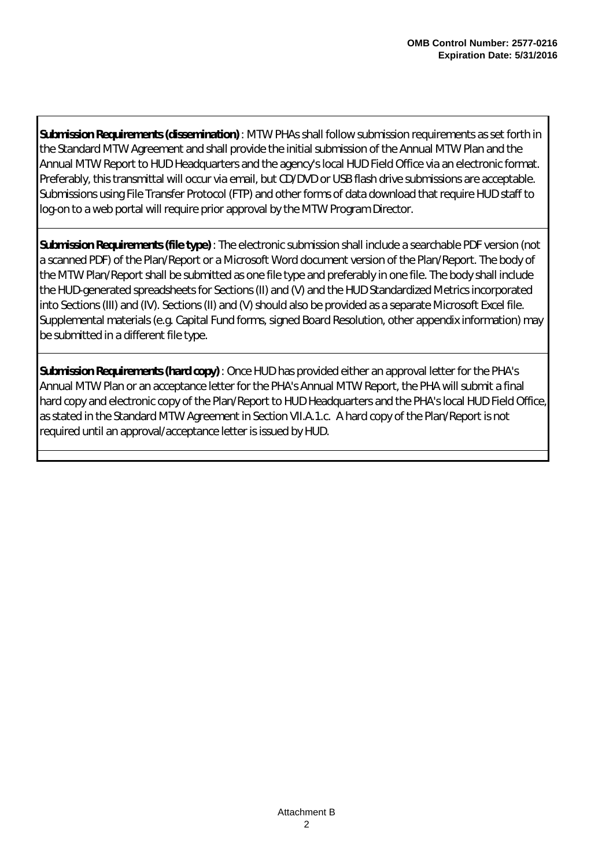*Submission Requirements (dissemination)* : MTW PHAs shall follow submission requirements as set forth in the Standard MTW Agreement and shall provide the initial submission of the Annual MTW Plan and the Annual MTW Report to HUD Headquarters and the agency's local HUD Field Office via an electronic format. Preferably, this transmittal will occur via email, but CD/DVD or USB flash drive submissions are acceptable. Submissions using File Transfer Protocol (FTP) and other forms of data download that require HUD staff to log-on to a web portal will require prior approval by the MTW Program Director.

*Submission Requirements (file type)* : The electronic submission shall include a searchable PDF version (not a scanned PDF) of the Plan/Report or a Microsoft Word document version of the Plan/Report. The body of the MTW Plan/Report shall be submitted as one file type and preferably in one file. The body shall include the HUD-generated spreadsheets for Sections (II) and (V) and the HUD Standardized Metrics incorporated into Sections (III) and (IV). Sections (II) and (V) should also be provided as a separate Microsoft Excel file. Supplemental materials (e.g. Capital Fund forms, signed Board Resolution, other appendix information) may be submitted in a different file type.

*Submission Requirements (hard copy)* : Once HUD has provided either an approval letter for the PHA's Annual MTW Plan or an acceptance letter for the PHA's Annual MTW Report, the PHA will submit a final hard copy and electronic copy of the Plan/Report to HUD Headquarters and the PHA's local HUD Field Office, as stated in the Standard MTW Agreement in Section VII.A.1.c. A hard copy of the Plan/Report is not required until an approval/acceptance letter is issued by HUD.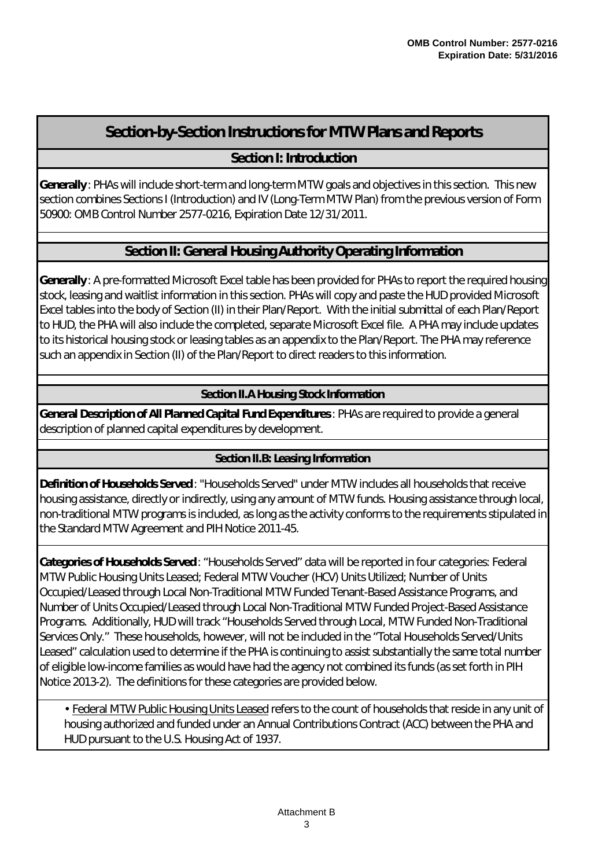# **Section-by-Section Instructions for MTW Plans and Reports**

## **Section I: Introduction**

*Generally* : PHAs will include short-term and long-term MTW goals and objectives in this section. This new section combines Sections I (Introduction) and IV (Long-Term MTW Plan) from the previous version of Form 50900: OMB Control Number 2577-0216, Expiration Date 12/31/2011.

## **Section II: General Housing Authority Operating Information**

*Generally* : A pre-formatted Microsoft Excel table has been provided for PHAs to report the required housing stock, leasing and waitlist information in this section. PHAs will copy and paste the HUD provided Microsoft Excel tables into the body of Section (II) in their Plan/Report. With the initial submittal of each Plan/Report to HUD, the PHA will also include the completed, separate Microsoft Excel file. A PHA may include updates to its historical housing stock or leasing tables as an appendix to the Plan/Report. The PHA may reference such an appendix in Section (II) of the Plan/Report to direct readers to this information.

*Section II.A Housing Stock Information*

*General Description of All Planned Capital Fund Expenditures*: PHAs are required to provide a general description of planned capital expenditures by development.

### *Section II.B: Leasing Information*

*Definition of Households Served* : "Households Served" under MTW includes all households that receive housing assistance, directly or indirectly, using any amount of MTW funds. Housing assistance through local, non-traditional MTW programs is included, as long as the activity conforms to the requirements stipulated in the Standard MTW Agreement and PIH Notice 2011-45.

*Categories of Households Served* : "Households Served" data will be reported in four categories: Federal MTW Public Housing Units Leased; Federal MTW Voucher (HCV) Units Utilized; Number of Units Occupied/Leased through Local Non-Traditional MTW Funded Tenant-Based Assistance Programs, and Number of Units Occupied/Leased through Local Non-Traditional MTW Funded Project-Based Assistance Programs. Additionally, HUD will track "Households Served through Local, MTW Funded Non-Traditional Services Only." These households, however, will not be included in the "Total Households Served/Units Leased" calculation used to determine if the PHA is continuing to assist substantially the same total number of eligible low-income families as would have had the agency not combined its funds (as set forth in PIH Notice 2013-2). The definitions for these categories are provided below.

• Federal MTW Public Housing Units Leased refers to the count of households that reside in any unit of housing authorized and funded under an Annual Contributions Contract (ACC) between the PHA and HUD pursuant to the U.S. Housing Act of 1937.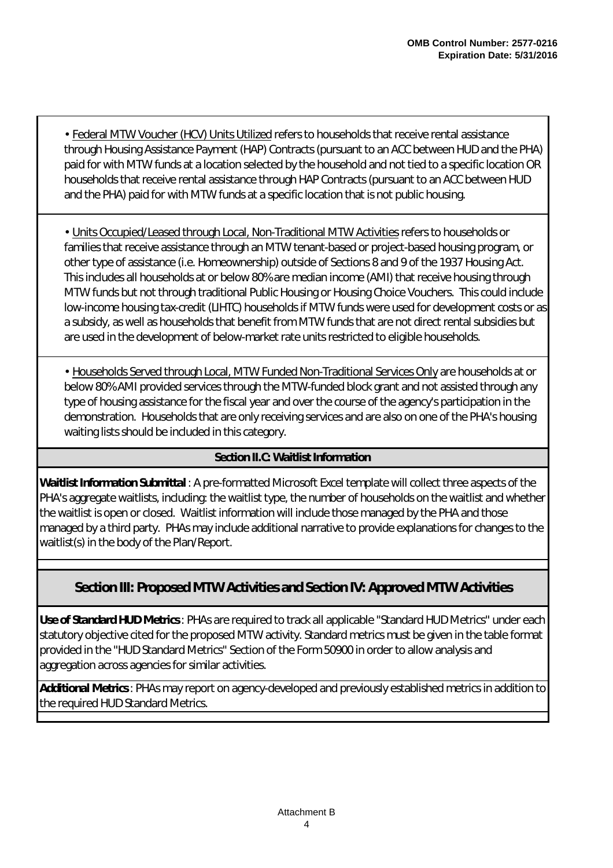• Federal MTW Voucher (HCV) Units Utilized refers to households that receive rental assistance through Housing Assistance Payment (HAP) Contracts (pursuant to an ACC between HUD and the PHA) paid for with MTW funds at a location selected by the household and not tied to a specific location OR households that receive rental assistance through HAP Contracts (pursuant to an ACC between HUD and the PHA) paid for with MTW funds at a specific location that is not public housing.

• Units Occupied/Leased through Local, Non-Traditional MTW Activities refers to households or families that receive assistance through an MTW tenant-based or project-based housing program, or other type of assistance (i.e. Homeownership) outside of Sections 8 and 9 of the 1937 Housing Act. This includes all households at or below 80% are median income (AMI) that receive housing through MTW funds but not through traditional Public Housing or Housing Choice Vouchers. This could include low-income housing tax-credit (LIHTC) households if MTW funds were used for development costs or as a subsidy, as well as households that benefit from MTW funds that are not direct rental subsidies but are used in the development of below-market rate units restricted to eligible households.

• Households Served through Local, MTW Funded Non-Traditional Services Only are households at or below 80% AMI provided services through the MTW-funded block grant and not assisted through any type of housing assistance for the fiscal year and over the course of the agency's participation in the demonstration. Households that are only receiving services and are also on one of the PHA's housing waiting lists should be included in this category.

### *Section II.C: Waitlist Information*

*Waitlist Information Submittal* : A pre-formatted Microsoft Excel template will collect three aspects of the PHA's aggregate waitlists, including: the waitlist type, the number of households on the waitlist and whether the waitlist is open or closed. Waitlist information will include those managed by the PHA and those managed by a third party. PHAs may include additional narrative to provide explanations for changes to the waitlist(s) in the body of the Plan/Report.

## **Section III: Proposed MTW Activities and Section IV: Approved MTW Activities**

*Use of Standard HUD Metrics*: PHAs are required to track all applicable "Standard HUD Metrics" under each statutory objective cited for the proposed MTW activity. Standard metrics must be given in the table format provided in the "HUD Standard Metrics" Section of the Form 50900 in order to allow analysis and aggregation across agencies for similar activities.

*Additional Metrics*: PHAs may report on agency-developed and previously established metrics in addition to the required HUD Standard Metrics.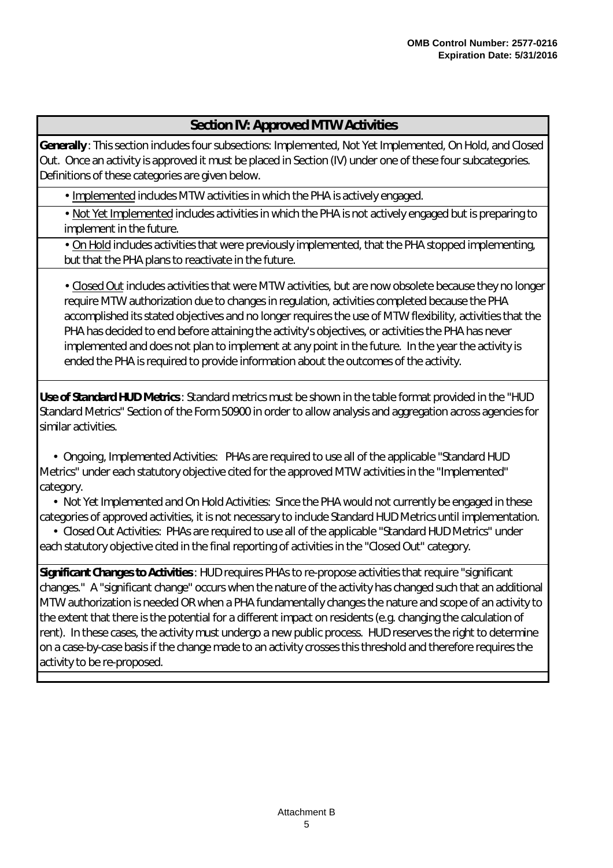### **Section IV: Approved MTW Activities**

*Generally* : This section includes four subsections: Implemented, Not Yet Implemented, On Hold, and Closed Out. Once an activity is approved it must be placed in Section (IV) under one of these four subcategories. Definitions of these categories are given below.

• Implemented includes MTW activities in which the PHA is actively engaged.

• Not Yet Implemented includes activities in which the PHA is not actively engaged but is preparing to implement in the future.

• On Hold includes activities that were previously implemented, that the PHA stopped implementing, but that the PHA plans to reactivate in the future.

• Closed Out includes activities that were MTW activities, but are now obsolete because they no longer require MTW authorization due to changes in regulation, activities completed because the PHA accomplished its stated objectives and no longer requires the use of MTW flexibility, activities that the PHA has decided to end before attaining the activity's objectives, or activities the PHA has never implemented and does not plan to implement at any point in the future. In the year the activity is ended the PHA is required to provide information about the outcomes of the activity.

*Use of Standard HUD Metrics*: Standard metrics must be shown in the table format provided in the "HUD Standard Metrics" Section of the Form 50900 in order to allow analysis and aggregation across agencies for similar activities.

• *Ongoing, Implemented Activities:* PHAs are required to use all of the applicable "Standard HUD Metrics" under each statutory objective cited for the approved MTW activities in the "Implemented" category.

• *Not Yet Implemented and On Hold Activities:* Since the PHA would not currently be engaged in these categories of approved activities, it is not necessary to include Standard HUD Metrics until implementation.

• C*losed Out Activities:* PHAs are required to use all of the applicable "Standard HUD Metrics" under each statutory objective cited in the final reporting of activities in the "Closed Out" category.

*Significant Changes to Activities*: HUD requires PHAs to re-propose activities that require "significant changes." A "significant change" occurs when the nature of the activity has changed such that an additional MTW authorization is needed OR when a PHA fundamentally changes the nature and scope of an activity to the extent that there is the potential for a different impact on residents (e.g. changing the calculation of rent). In these cases, the activity must undergo a new public process. HUD reserves the right to determine on a case-by-case basis if the change made to an activity crosses this threshold and therefore requires the activity to be re-proposed.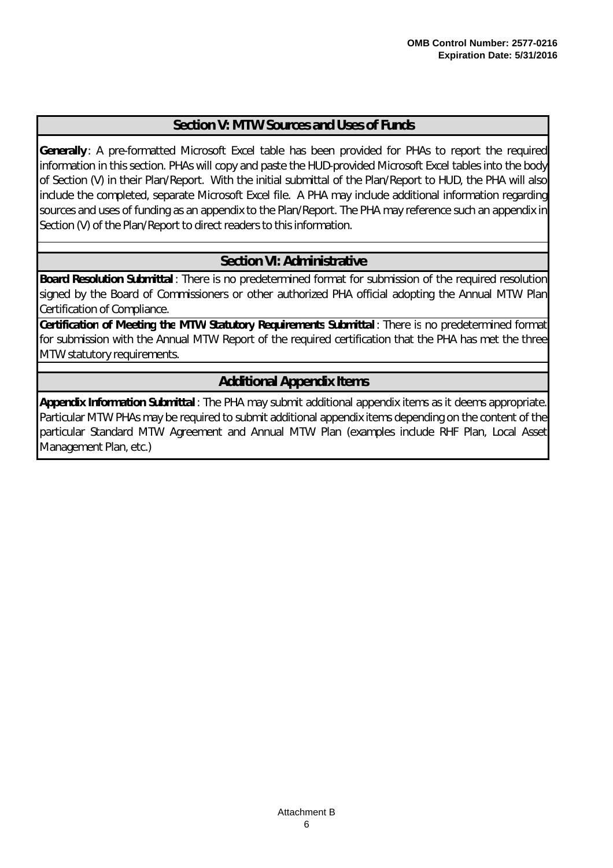### **Section V: MTW Sources and Uses of Funds**

*Generally* : A pre-formatted Microsoft Excel table has been provided for PHAs to report the required information in this section. PHAs will copy and paste the HUD-provided Microsoft Excel tables into the body of Section (V) in their Plan/Report. With the initial submittal of the Plan/Report to HUD, the PHA will also include the completed, separate Microsoft Excel file. A PHA may include additional information regarding sources and uses of funding as an appendix to the Plan/Report. The PHA may reference such an appendix in Section (V) of the Plan/Report to direct readers to this information.

## **Section VI: Administrative**

*Board Resolution Submittal* : There is no predetermined format for submission of the required resolution signed by the Board of Commissioners or other authorized PHA official adopting the Annual MTW Plan Certification of Compliance.

*Certification of Meeting the MTW Statutory Requirements Submittal* : There is no predetermined format for submission with the Annual MTW Report of the required certification that the PHA has met the three MTW statutory requirements.

## **Additional Appendix Items**

*Appendix Information Submittal* : The PHA may submit additional appendix items as it deems appropriate. Particular MTW PHAs may be required to submit additional appendix items depending on the content of the particular Standard MTW Agreement and Annual MTW Plan (examples include RHF Plan, Local Asset Management Plan, etc.)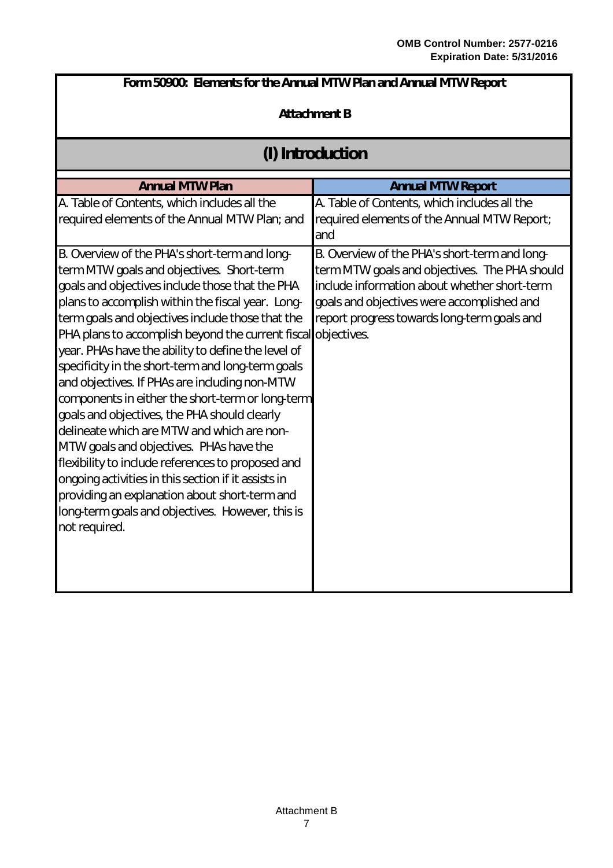| Form 50900: Elements for the Annual MTW Plan and Annual MTW Report                                                                                                                                                                                                                                                                                                                                                                                                                                                                                                                                                                                                                                                                                                                                                                                                                                                 |                                                                                                                                                                                                                                             |  |  |  |
|--------------------------------------------------------------------------------------------------------------------------------------------------------------------------------------------------------------------------------------------------------------------------------------------------------------------------------------------------------------------------------------------------------------------------------------------------------------------------------------------------------------------------------------------------------------------------------------------------------------------------------------------------------------------------------------------------------------------------------------------------------------------------------------------------------------------------------------------------------------------------------------------------------------------|---------------------------------------------------------------------------------------------------------------------------------------------------------------------------------------------------------------------------------------------|--|--|--|
| <b>Attachment B</b>                                                                                                                                                                                                                                                                                                                                                                                                                                                                                                                                                                                                                                                                                                                                                                                                                                                                                                |                                                                                                                                                                                                                                             |  |  |  |
| (I) Introduction                                                                                                                                                                                                                                                                                                                                                                                                                                                                                                                                                                                                                                                                                                                                                                                                                                                                                                   |                                                                                                                                                                                                                                             |  |  |  |
| <b>Annual MTW Plan</b>                                                                                                                                                                                                                                                                                                                                                                                                                                                                                                                                                                                                                                                                                                                                                                                                                                                                                             | <b>Annual MTW Report</b>                                                                                                                                                                                                                    |  |  |  |
| A. Table of Contents, which includes all the<br>required elements of the Annual MTW Plan; and                                                                                                                                                                                                                                                                                                                                                                                                                                                                                                                                                                                                                                                                                                                                                                                                                      | A. Table of Contents, which includes all the<br>required elements of the Annual MTW Report;<br>and                                                                                                                                          |  |  |  |
| B. Overview of the PHA's short-term and long-<br>term MTW goals and objectives. Short-term<br>goals and objectives include those that the PHA<br>plans to accomplish within the fiscal year. Long-<br>term goals and objectives include those that the<br>PHA plans to accomplish beyond the current fiscal objectives.<br>year. PHAs have the ability to define the level of<br>specificity in the short-term and long-term goals<br>and objectives. If PHAs are including non-MTW<br>components in either the short-term or long-term<br>goals and objectives, the PHA should clearly<br>delineate which are MTW and which are non-<br>MTW goals and objectives. PHAs have the<br>flexibility to include references to proposed and<br>ongoing activities in this section if it assists in<br>providing an explanation about short-term and<br>long-term goals and objectives. However, this is<br>not required. | B. Overview of the PHA's short-term and long-<br>term MTW goals and objectives. The PHA should<br>include information about whether short-term<br>goals and objectives were accomplished and<br>report progress towards long-term goals and |  |  |  |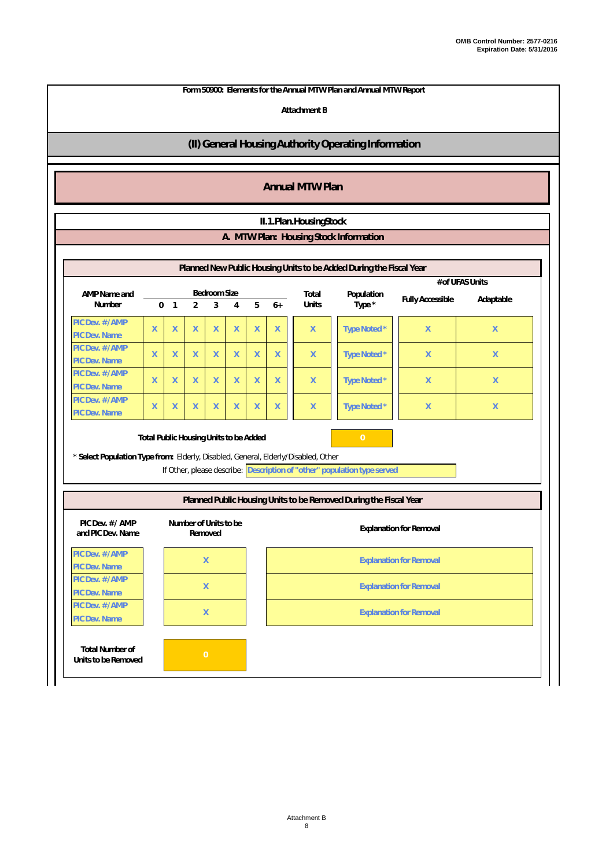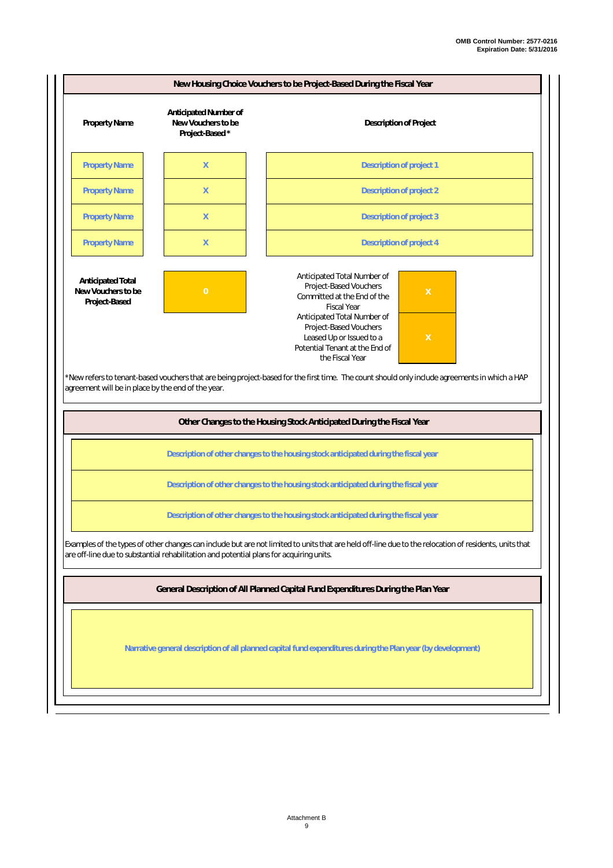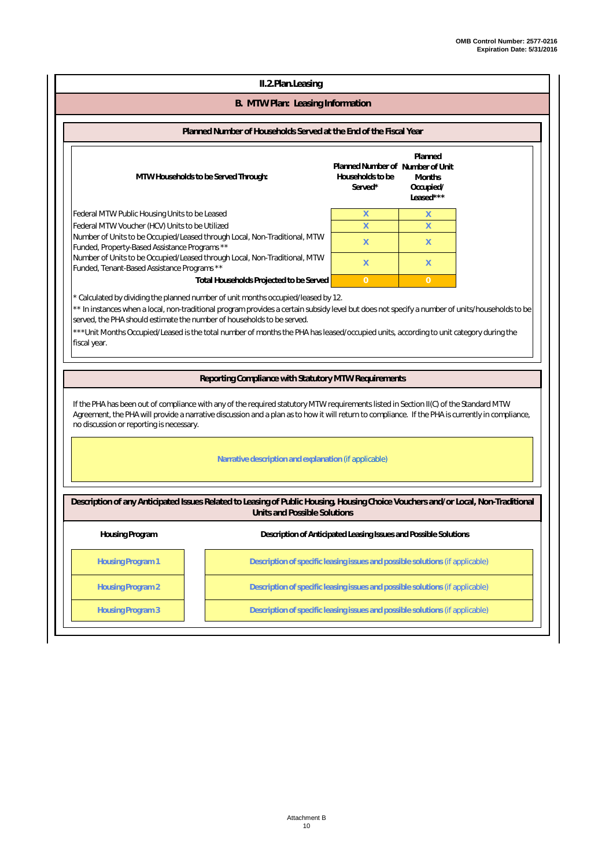| II.2.Plan.Leasing                                                                                                                                                                                                                                                                                                                                                                                                                                                                |                                                                                                                                                                                                                                                                                           |                                                                  |                                                    |  |  |
|----------------------------------------------------------------------------------------------------------------------------------------------------------------------------------------------------------------------------------------------------------------------------------------------------------------------------------------------------------------------------------------------------------------------------------------------------------------------------------|-------------------------------------------------------------------------------------------------------------------------------------------------------------------------------------------------------------------------------------------------------------------------------------------|------------------------------------------------------------------|----------------------------------------------------|--|--|
| B. MTW Plan: Leasing Information                                                                                                                                                                                                                                                                                                                                                                                                                                                 |                                                                                                                                                                                                                                                                                           |                                                                  |                                                    |  |  |
|                                                                                                                                                                                                                                                                                                                                                                                                                                                                                  | Planned Number of Households Served at the End of the Fiscal Year                                                                                                                                                                                                                         |                                                                  |                                                    |  |  |
|                                                                                                                                                                                                                                                                                                                                                                                                                                                                                  | MTW Households to be Served Through:                                                                                                                                                                                                                                                      | Planned Number of Number of Unit<br>Households to be<br>Served*  | Planned<br><b>Months</b><br>Occupied/<br>Leased*** |  |  |
| Federal MTW Public Housing Units to be Leased<br>X<br>X<br>Federal MTW Voucher (HCV) Units to be Utilized<br>X<br>X<br>Number of Units to be Occupied/Leased through Local, Non-Traditional, MTW<br>X<br>X<br>Funded, Property-Based Assistance Programs **<br>Number of Units to be Occupied/Leased through Local, Non-Traditional, MTW<br>X<br>X<br>Funded, Tenant-Based Assistance Programs **<br>Total Households Projected to be Served<br>$\overline{0}$<br>$\overline{0}$ |                                                                                                                                                                                                                                                                                           |                                                                  |                                                    |  |  |
| * Calculated by dividing the planned number of unit months occupied/leased by 12.<br>** In instances when a local, non-traditional program provides a certain subsidy level but does not specify a number of units/households to be<br>served, the PHA should estimate the number of households to be served.<br>*** Unit Months Occupied/Leased is the total number of months the PHA has leased/occupied units, according to unit category during the<br>fiscal year.          |                                                                                                                                                                                                                                                                                           |                                                                  |                                                    |  |  |
|                                                                                                                                                                                                                                                                                                                                                                                                                                                                                  |                                                                                                                                                                                                                                                                                           |                                                                  |                                                    |  |  |
|                                                                                                                                                                                                                                                                                                                                                                                                                                                                                  | Reporting Compliance with Statutory MTW Requirements                                                                                                                                                                                                                                      |                                                                  |                                                    |  |  |
| no discussion or reporting is necessary.                                                                                                                                                                                                                                                                                                                                                                                                                                         | If the PHA has been out of compliance with any of the required statutory MTW requirements listed in Section II(C) of the Standard MTW<br>Agreement, the PHA will provide a narrative discussion and a plan as to how it will return to compliance. If the PHA is currently in compliance, |                                                                  |                                                    |  |  |
|                                                                                                                                                                                                                                                                                                                                                                                                                                                                                  | Narrative description and explanation (if applicable)                                                                                                                                                                                                                                     |                                                                  |                                                    |  |  |
|                                                                                                                                                                                                                                                                                                                                                                                                                                                                                  | Description of any Anticipated Issues Related to Leasing of Public Housing, Housing Choice Vouchers and/or Local, Non-Traditional<br>Units and Possible Solutions                                                                                                                         |                                                                  |                                                    |  |  |
| Housing Program                                                                                                                                                                                                                                                                                                                                                                                                                                                                  |                                                                                                                                                                                                                                                                                           | Description of Anticipated Leasing Issues and Possible Solutions |                                                    |  |  |
| <b>Housing Program 1</b>                                                                                                                                                                                                                                                                                                                                                                                                                                                         | Description of specific leasing issues and possible solutions (if applicable)                                                                                                                                                                                                             |                                                                  |                                                    |  |  |
| <b>Housing Program 2</b>                                                                                                                                                                                                                                                                                                                                                                                                                                                         | Description of specific leasing issues and possible solutions (if applicable)                                                                                                                                                                                                             |                                                                  |                                                    |  |  |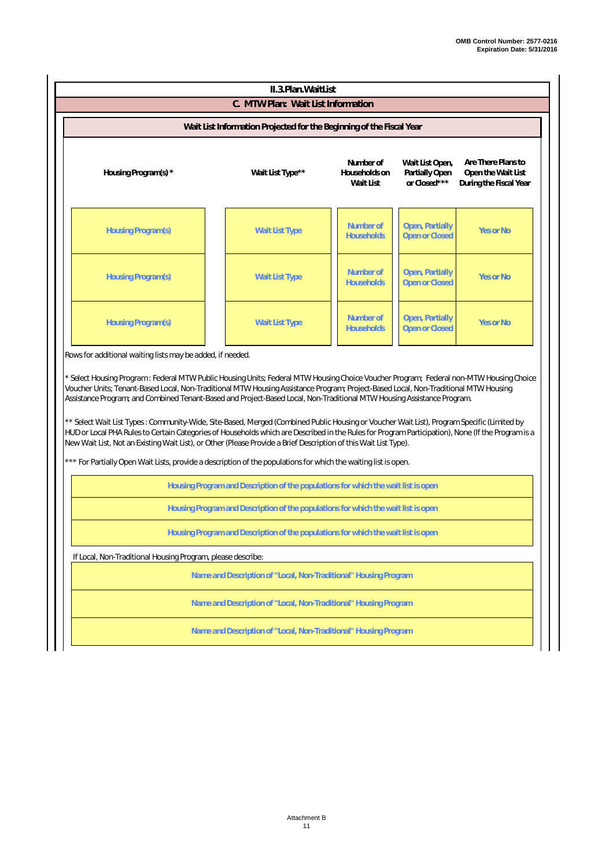| II.3. Plan. Wait List                                      |                                                                      |                                         |                                                   |                                                                    |  |  |
|------------------------------------------------------------|----------------------------------------------------------------------|-----------------------------------------|---------------------------------------------------|--------------------------------------------------------------------|--|--|
|                                                            | C. MTW Plan: Wait List Information                                   |                                         |                                                   |                                                                    |  |  |
|                                                            | Wait List Information Projected for the Beginning of the Fiscal Year |                                         |                                                   |                                                                    |  |  |
| Housing Program(s) *                                       | Wait List Type**                                                     | Number of<br>Households on<br>Wait List | Wait List Open,<br>Partially Open<br>or Closed*** | Are There Plans to<br>Open the Wait List<br>During the Fiscal Year |  |  |
| Housing Program(s)                                         | <b>Wait List Type</b>                                                | Number of<br><b>Households</b>          | Open, Partially<br><b>Open or Closed</b>          | Yes or No                                                          |  |  |
| Housing Program(s)                                         | <b>Wait List Type</b>                                                | Number of<br><b>Households</b>          | Open, Partially<br><b>Open or Closed</b>          | <b>Yes or No</b>                                                   |  |  |
| Housing Program(s)                                         | <b>Wait List Type</b>                                                | Number of<br><b>Households</b>          | Open, Partially<br><b>Open or Closed</b>          | <b>Yes or No</b>                                                   |  |  |
| Rows for additional waiting lists may be added, if needed. |                                                                      |                                         |                                                   |                                                                    |  |  |

\* *Select Housing Program* : Federal MTW Public Housing Units; Federal MTW Housing Choice Voucher Program; Federal non-MTW Housing Choice Voucher Units; Tenant-Based Local, Non-Traditional MTW Housing Assistance Program; Project-Based Local, Non-Traditional MTW Housing Assistance Program; and Combined Tenant-Based and Project-Based Local, Non-Traditional MTW Housing Assistance Program.

\*\* *Select Wait List Types* : Community-Wide, Site-Based, Merged (Combined Public Housing or Voucher Wait List), Program Specific (Limited by HUD or Local PHA Rules to Certain Categories of Households which are Described in the Rules for Program Participation), None (If the Program is a New Wait List, Not an Existing Wait List), or Other (Please Provide a Brief Description of this Wait List Type).

For Partially Open Wait Lists, provide a description of the populations for which the waiting list is open.

**Housing Program and Description of the populations for which the wait list is open**

**Housing Program and Description of the populations for which the wait list is open**

**Housing Program and Description of the populations for which the wait list is open**

If Local, Non-Traditional Housing Program, please describe:

**Name and Description of "Local, Non-Traditional" Housing Program**

**Name and Description of "Local, Non-Traditional" Housing Program**

**Name and Description of "Local, Non-Traditional" Housing Program**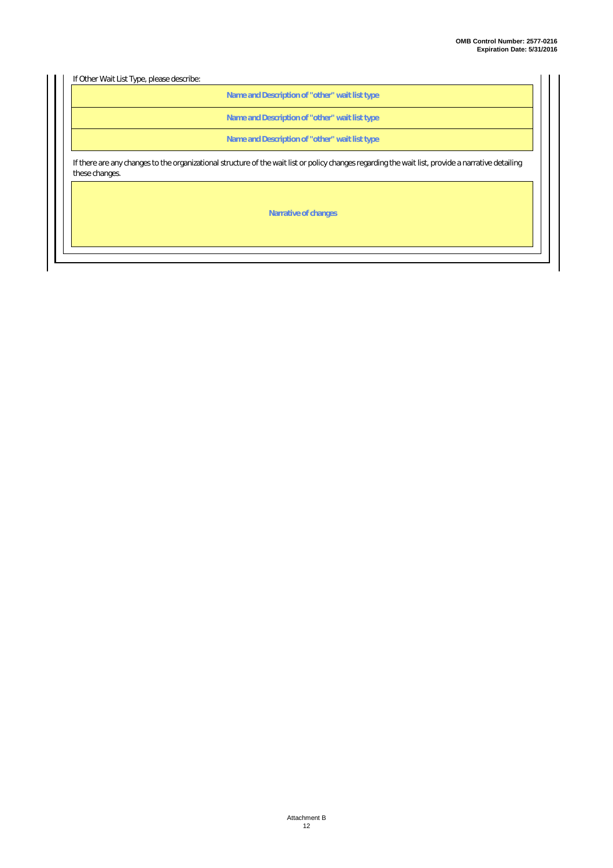If Other Wait List Type, please describe:

**Name and Description of "other" wait list type**

**Name and Description of "other" wait list type**

**Name and Description of "other" wait list type**

If there are any changes to the organizational structure of the wait list or policy changes regarding the wait list, provide a narrative detailing these changes.

**Narrative of changes**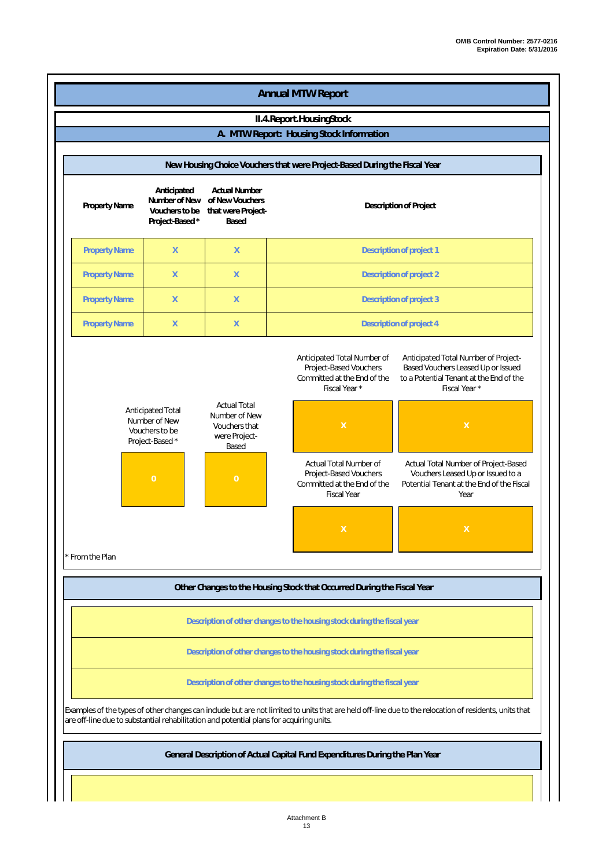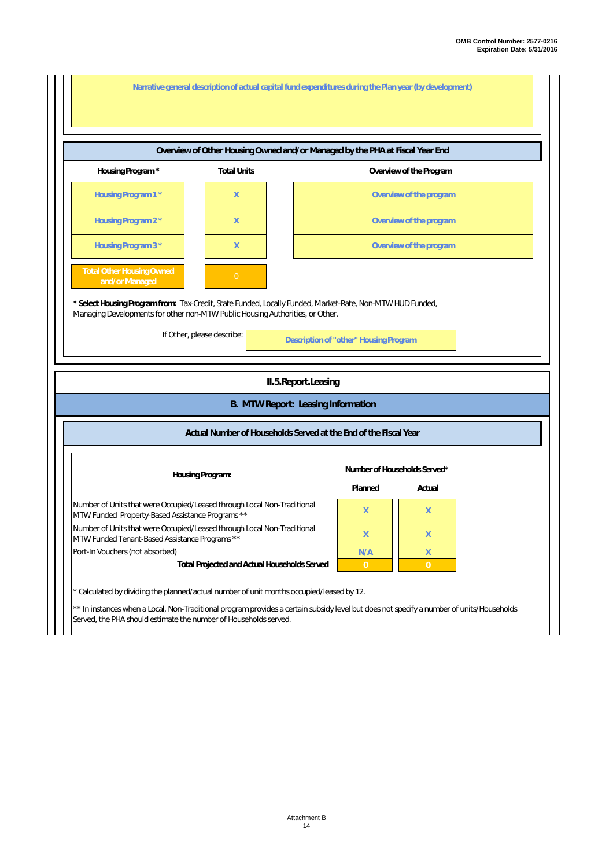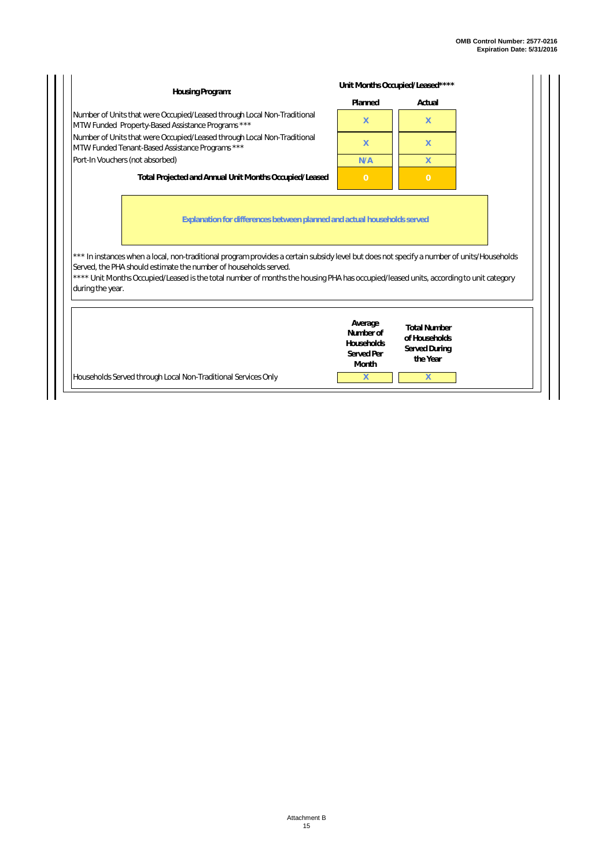| Housing Program:                                                                                                                                                                                                                                                                                                                                                          |                                   | Unit Months Occupied/Leased****                                          |
|---------------------------------------------------------------------------------------------------------------------------------------------------------------------------------------------------------------------------------------------------------------------------------------------------------------------------------------------------------------------------|-----------------------------------|--------------------------------------------------------------------------|
|                                                                                                                                                                                                                                                                                                                                                                           | Planned                           | Actual                                                                   |
| Number of Units that were Occupied/Leased through Local Non-Traditional<br>MTW Funded Property-Based Assistance Programs ***                                                                                                                                                                                                                                              | X.                                | $\mathsf{X}$                                                             |
| Number of Units that were Occupied/Leased through Local Non-Traditional<br>MTW Funded Tenant-Based Assistance Programs ***                                                                                                                                                                                                                                                | X                                 | $\mathsf{X}$                                                             |
| Port-In Vouchers (not absorbed)                                                                                                                                                                                                                                                                                                                                           | N/A                               | $\mathsf{X}$                                                             |
| Total Projected and Annual Unit Months Occupied/Leased                                                                                                                                                                                                                                                                                                                    | $\overline{0}$                    | $\overline{0}$                                                           |
|                                                                                                                                                                                                                                                                                                                                                                           |                                   | Explanation for differences between planned and actual households served |
|                                                                                                                                                                                                                                                                                                                                                                           |                                   |                                                                          |
| *** In instances when a local, non-traditional program provides a certain subsidy level but does not specify a number of units/Households<br>Served, the PHA should estimate the number of households served.<br>**** Unit Months Occupied/Leased is the total number of months the housing PHA has occupied/leased units, according to unit category<br>during the year. | Average<br>Number of              | <b>Total Number</b>                                                      |
|                                                                                                                                                                                                                                                                                                                                                                           | Households<br>Served Per<br>Month | of Households<br>Served During<br>the Year                               |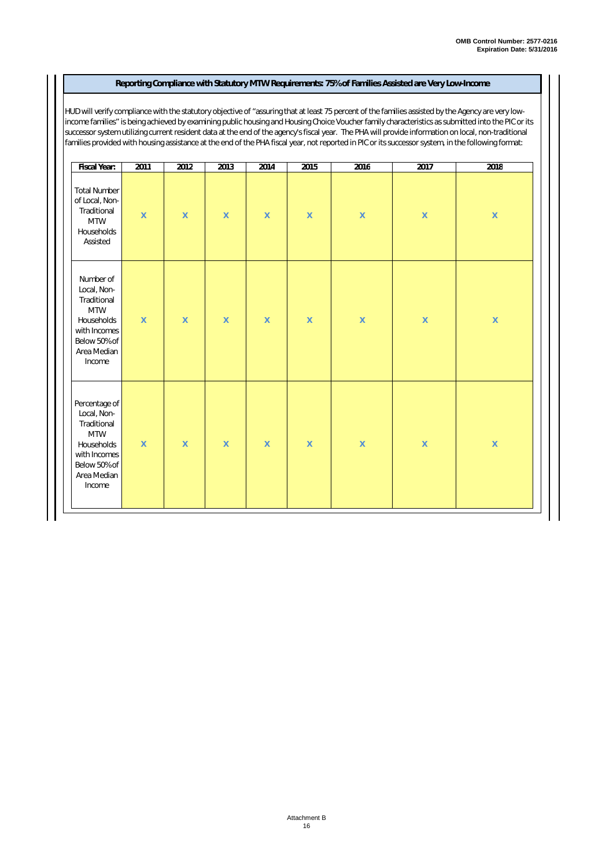#### **Reporting Compliance with Statutory MTW Requirements: 75% of Families Assisted are Very Low-Income**

HUD will verify compliance with the statutory objective of "assuring that at least 75 percent of the families assisted by the Agency are very lowincome families" is being achieved by examining public housing and Housing Choice Voucher family characteristics as submitted into the PIC or its successor system utilizing current resident data at the end of the agency's fiscal year. The PHA will provide information on local, non-traditional families provided with housing assistance at the end of the PHA fiscal year, not reported in PIC or its successor system, in the following format:

| Fiscal Year:                                                                                                                     | 2011        | 2012        | 2013               | 2014               | 2015        | 2016               | 2017               | 2018               |
|----------------------------------------------------------------------------------------------------------------------------------|-------------|-------------|--------------------|--------------------|-------------|--------------------|--------------------|--------------------|
| <b>Total Number</b><br>of Local, Non-<br>Traditional<br><b>MTW</b><br>Households<br>Assisted                                     | $\mathsf X$ | $\mathsf X$ | $\bar{\mathsf{X}}$ | $\mathsf X$        | $\mathsf X$ | $\bar{\mathsf{X}}$ | $\bar{\mathsf{X}}$ | $\bar{\mathsf{X}}$ |
| Number of<br>Local, Non-<br>Traditional<br><b>MTW</b><br>Households<br>with Incomes<br>Below 50% of<br>Area Median<br>Income     | $\mathsf X$ | $\mathsf X$ | $\mathsf X$        | $\mathsf X$        | $\mathsf X$ | $\mathsf X$        | $\mathsf X$        | $\bar{\mathsf{X}}$ |
| Percentage of<br>Local, Non-<br>Traditional<br><b>MTW</b><br>Households<br>with Incomes<br>Below 50% of<br>Area Median<br>Income | $\mathsf X$ | $\mathsf X$ | $\bar{\mathsf{X}}$ | $\bar{\mathsf{X}}$ | $\mathsf X$ | $\bar{\mathsf{X}}$ | $\bar{\mathsf{X}}$ | $\bar{\mathsf{X}}$ |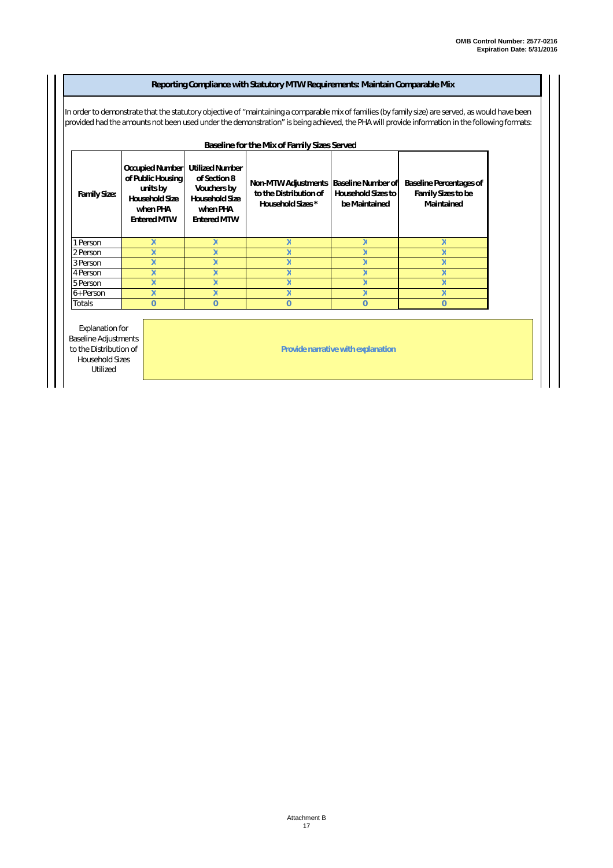#### **Family Size:** 1 Person 2 Person 3 Person 4 Person 5 Person 6+ Person **Totals X X X X X X X X Reporting Compliance with Statutory MTW Requirements: Maintain Comparable Mix** In order to demonstrate that the statutory objective of "maintaining a comparable mix of families (by family size) are served, as would have been provided had the amounts not been used under the demonstration" is being achieved, the PHA will provide information in the following formats: **Occupied Number of Public Housing units by Household Size when PHA Entered MTW Utilized Number of Section 8 Vouchers by Household Size when PHA Entered MTW Non-MTW Adjustments Baseline Number of to the Distribution of Household Sizes \* Household Sizes to be Maintained Baseline Percentages of Family Sizes to be Maintained X X X X X X X X X X X X X X X X X 0 0 0 0** Explanation for Baseline Adjustments to the Distribution of Household Sizes Utilized **0 X X X X X Provide narrative with explanation Baseline for the Mix of Family Sizes Served**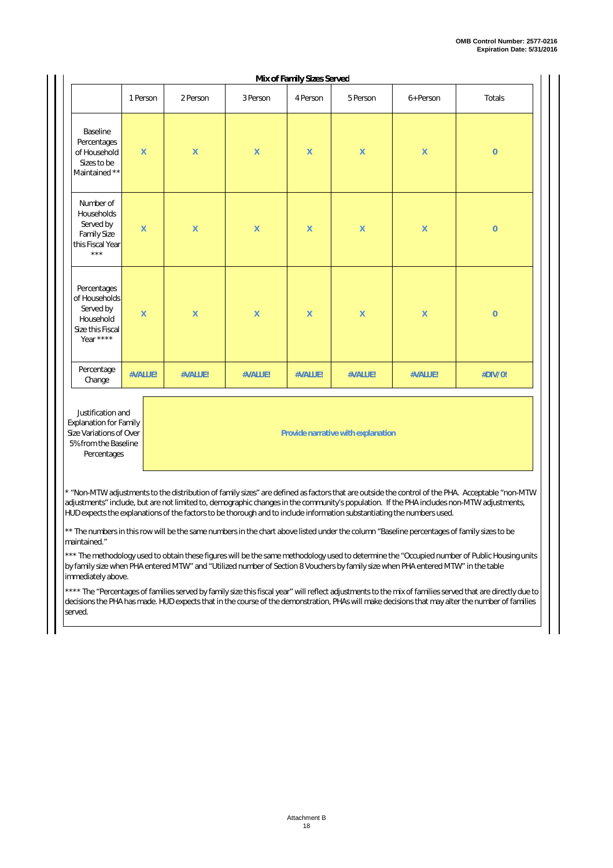|                                                                                         |                    |                    |                    | Mix of Family Sizes Served |                    |                    |                |
|-----------------------------------------------------------------------------------------|--------------------|--------------------|--------------------|----------------------------|--------------------|--------------------|----------------|
|                                                                                         | 1 Person           | 2 Person           | 3 Person           | 4 Person                   | 5 Person           | 6+ Person          | <b>Totals</b>  |
| Baseline<br>Percentages<br>of Household<br>Sizes to be<br>Maintained **                 | $\mathsf X$        | $\mathsf X$        | $\mathsf X$        | $\mathsf X$                | $\mathsf X$        | $\mathsf X$        | $\overline{0}$ |
| Number of<br>Households<br>Served by<br><b>Family Size</b><br>this Fiscal Year<br>$***$ | $\overline{X}$     | $\sf X$            | $\mathsf X$        | $\mathsf{X}$               | $\sf X$            | $\mathsf X$        | $\overline{0}$ |
| Percentages<br>of Households<br>Served by<br>Household<br>Size this Fiscal<br>Year **** | $\bar{\mathsf{X}}$ | $\bar{\mathsf{X}}$ | $\bar{\mathsf{X}}$ | $\mathsf X$                | $\bar{\mathsf{X}}$ | $\bar{\mathsf{X}}$ | $\overline{0}$ |
| Percentage<br>Change                                                                    | #VALUE!            | #VALUE!            | #VALUE!            | #VALUE!                    | #VALUE!            | #VALUE!            | #DIV/0!        |

Justification and Explanation for Family Size Variations of Over 5% from the Baseline Percentages

**Provide narrative with explanation**

\* "Non-MTW adjustments to the distribution of family sizes" are defined as factors that are outside the control of the PHA. Acceptable "non-MTW adjustments" include, but are not limited to, demographic changes in the community's population. If the PHA includes non-MTW adjustments, HUD expects the explanations of the factors to be thorough and to include information substantiating the numbers used.

\*\* The numbers in this row will be the same numbers in the chart above listed under the column "Baseline percentages of family sizes to be maintained."

\*\* The methodology used to obtain these figures will be the same methodology used to determine the "Occupied number of Public Housing units by family size when PHA entered MTW" and "Utilized number of Section 8 Vouchers by family size when PHA entered MTW" in the table immediately above.

\*\*\* The "Percentages of families served by family size this fiscal year" will reflect adjustments to the mix of families served that are directly due to decisions the PHA has made. HUD expects that in the course of the demonstration, PHAs will make decisions that may alter the number of families served.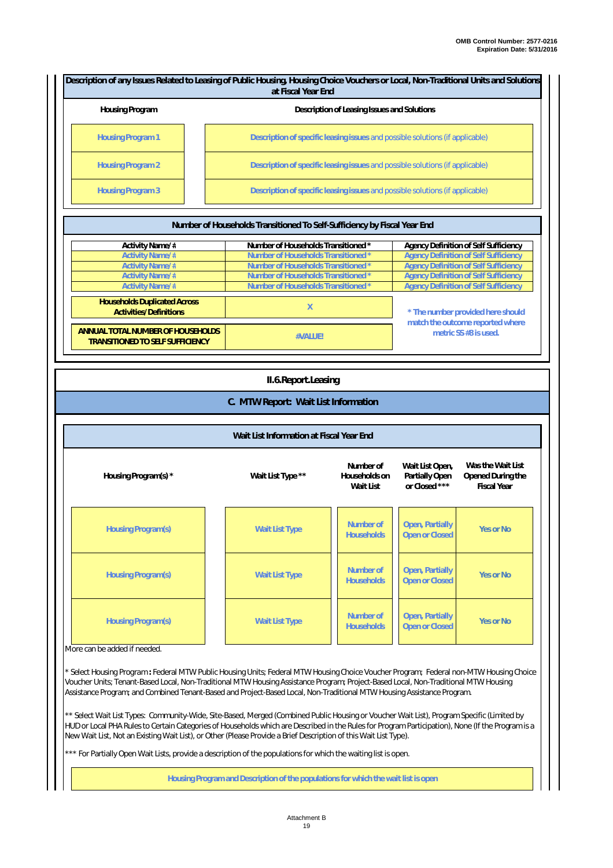| Housing Program          | Description of Leasing Issues and Solutions                                   |
|--------------------------|-------------------------------------------------------------------------------|
| <b>Housing Program 1</b> | Description of specific leasing issues and possible solutions (if applicable) |
| <b>Housing Program 2</b> | Description of specific leasing issues and possible solutions (if applicable) |
| <b>Housing Program 3</b> | Description of specific leasing issues and possible solutions (if applicable) |

| <b>TWITING!</b> OF FIGURER IT GENERATION TO BOTH DUITION TO JUST TRUE LIGHT  |                                     |                                                           |  |  |
|------------------------------------------------------------------------------|-------------------------------------|-----------------------------------------------------------|--|--|
| Activity Name/#                                                              | Number of Households Transitioned * | Agency Definition of Self Sufficiency                     |  |  |
| <b>Activity Name/#</b>                                                       | Number of Households Transitioned * | <b>Agency Definition of Self Sufficiency</b>              |  |  |
| <b>Activity Name/#</b>                                                       | Number of Households Transitioned * | <b>Agency Definition of Self Sufficiency</b>              |  |  |
| <b>Activity Name/#</b>                                                       | Number of Households Transitioned * | <b>Agency Definition of Self Sufficiency</b>              |  |  |
| <b>Activity Name/#</b>                                                       | Number of Households Transitioned * | <b>Agency Definition of Self Sufficiency</b>              |  |  |
| <b>Households Duplicated Across</b><br>Activities/Definitions                | X                                   | * The number provided here should                         |  |  |
| ANNUAL TOTAL NUMBER OF HOUSEHOLDS<br><b>TRANSITIONED TO SELF SUFFICIENCY</b> | #VALUE!                             | match the outcome reported where<br>metric SS #8 is used. |  |  |

|  | II.6. Report. Leasing |
|--|-----------------------|
|  |                       |

#### **C. MTW Report: Wait List Information**

| Wait List Information at Fiscal Year End |  |  |  |  |
|------------------------------------------|--|--|--|--|
|------------------------------------------|--|--|--|--|

| Housing Program(s) * | Wait List Type **     | Number of<br>Households on<br>Wait List | Wait List Open,<br>Partially Open<br>or Closed *** | Was the Wait List<br>Opened During the<br><b>Fiscal Year</b> |
|----------------------|-----------------------|-----------------------------------------|----------------------------------------------------|--------------------------------------------------------------|
| Housing Program(s)   | <b>Wait List Type</b> | Number of<br><b>Households</b>          | Open, Partially<br><b>Open or Closed</b>           | Yes or No                                                    |
| Housing Program(s)   | <b>Wait List Type</b> | Number of<br><b>Households</b>          | Open, Partially<br><b>Open or Closed</b>           | Yes or No                                                    |
| Housing Program(s)   | <b>Wait List Type</b> | Number of<br><b>Households</b>          | Open, Partially<br><b>Open or Closed</b>           | Yes or No                                                    |

#### More can be added if needed.

*\* Select Housing Program* **:** Federal MTW Public Housing Units; Federal MTW Housing Choice Voucher Program; Federal non-MTW Housing Choice Voucher Units; Tenant-Based Local, Non-Traditional MTW Housing Assistance Program; Project-Based Local, Non-Traditional MTW Housing Assistance Program; and Combined Tenant-Based and Project-Based Local, Non-Traditional MTW Housing Assistance Program.

*\*\* Select Wait List Types:* Community-Wide, Site-Based, Merged (Combined Public Housing or Voucher Wait List), Program Specific (Limited by HUD or Local PHA Rules to Certain Categories of Households which are Described in the Rules for Program Participation), None (If the Program is a New Wait List, Not an Existing Wait List), or Other (Please Provide a Brief Description of this Wait List Type).

\*\* For Partially Open Wait Lists, provide a description of the populations for which the waiting list is open.

**Housing Program and Description of the populations for which the wait list is open**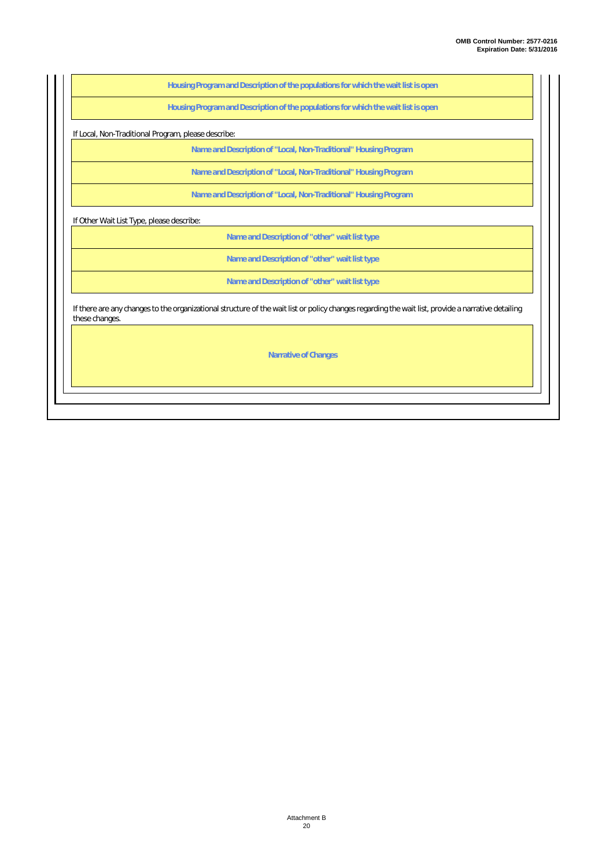**Housing Program and Description of the populations for which the wait list is open**

**Housing Program and Description of the populations for which the wait list is open**

If Local, Non-Traditional Program, please describe:

**Name and Description of "Local, Non-Traditional" Housing Program**

**Name and Description of "Local, Non-Traditional" Housing Program**

**Name and Description of "Local, Non-Traditional" Housing Program**

If Other Wait List Type, please describe:

**Name and Description of "other" wait list type**

**Name and Description of "other" wait list type**

**Name and Description of "other" wait list type**

If there are any changes to the organizational structure of the wait list or policy changes regarding the wait list, provide a narrative detailing these changes.

**Narrative of Changes**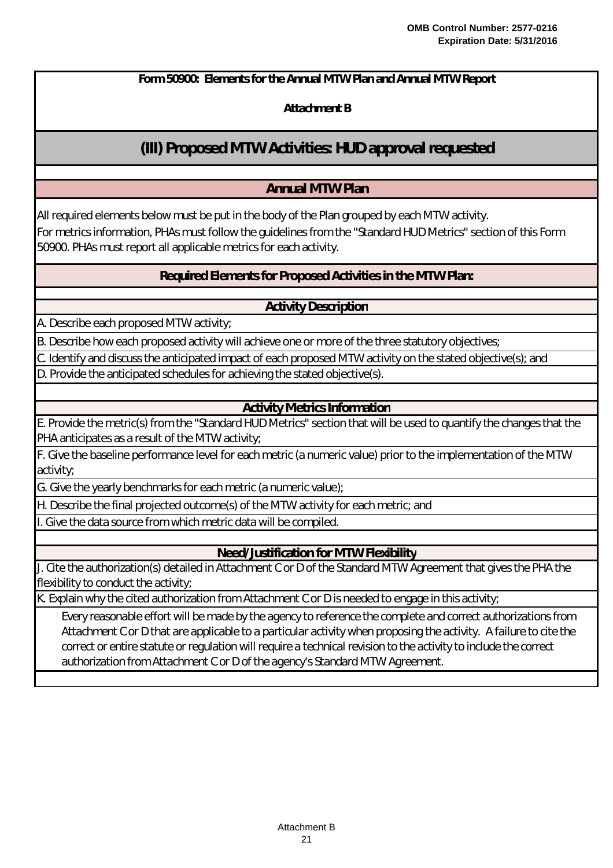**Attachment B**

## **(III) Proposed MTW Activities: HUD approval requested**

## **Annual MTW Plan**

All required elements below must be put in the body of the Plan grouped by each MTW activity. For metrics information, PHAs must follow the guidelines from the "Standard HUD Metrics" section of this Form

50900. PHAs must report all applicable metrics for each activity.

**Required Elements for Proposed Activities in the MTW Plan:**

**Activity Description**

A. Describe each proposed MTW activity;

B. Describe how each proposed activity will achieve one or more of the three statutory objectives;

C. Identify and discuss the anticipated impact of each proposed MTW activity on the stated objective(s); and D. Provide the anticipated schedules for achieving the stated objective(s).

### **Activity Metrics Information**

E. Provide the metric(s) from the "Standard HUD Metrics" section that will be used to quantify the changes that the PHA anticipates as a result of the MTW activity;

F. Give the baseline performance level for each metric (a numeric value) prior to the implementation of the MTW activity;

G. Give the yearly benchmarks for each metric (a numeric value);

H. Describe the final projected outcome(s) of the MTW activity for each metric; and

Give the data source from which metric data will be compiled.

**Need/Justification for MTW Flexibility**

J. Cite the authorization(s) detailed in Attachment C or D of the Standard MTW Agreement that gives the PHA the flexibility to conduct the activity;

K. Explain why the cited authorization from Attachment C or D is needed to engage in this activity;

*Every reasonable effort will be made by the agency to reference the complete and correct authorizations from Attachment C or D that are applicable to a particular activity when proposing the activity. A failure to cite the correct or entire statute or regulation will require a technical revision to the activity to include the correct authorization from Attachment C or D of the agency's Standard MTW Agreement.*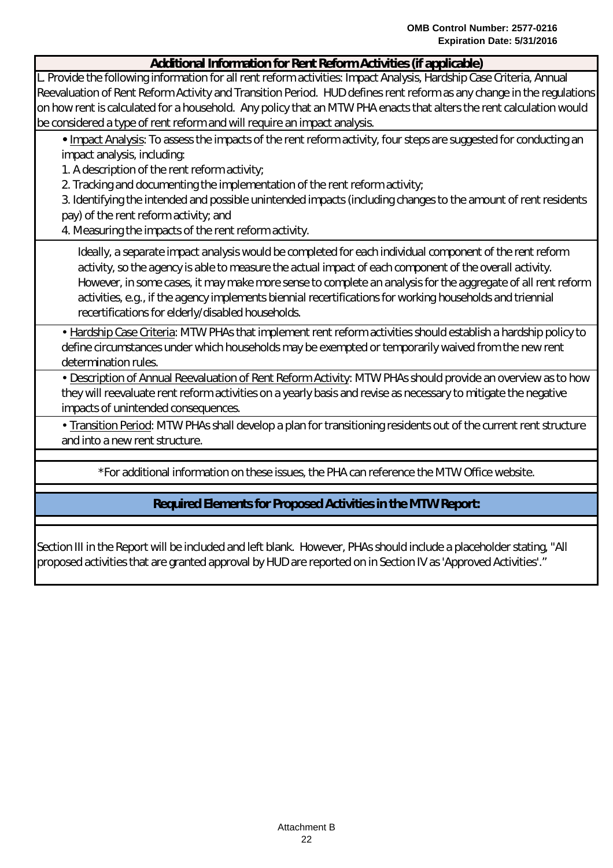### **Additional Information for Rent Reform Activities (if applicable)**

L. Provide the following information for all rent reform activities: Impact Analysis, Hardship Case Criteria, Annual Reevaluation of Rent Reform Activity and Transition Period. HUD defines rent reform as any change in the regulations on how rent is calculated for a household. Any policy that an MTW PHA enacts that alters the rent calculation would be considered a type of rent reform and will require an impact analysis.

**•** Impact Analysis: To assess the impacts of the rent reform activity, four steps are suggested for conducting an impact analysis, including:

1. A description of the rent reform activity;

2. Tracking and documenting the implementation of the rent reform activity;

3. Identifying the intended and possible unintended impacts (including changes to the amount of rent residents pay) of the rent reform activity; and

4. Measuring the impacts of the rent reform activity.

*Ideally, a separate impact analysis would be completed for each individual component of the rent reform activity, so the agency is able to measure the actual impact of each component of the overall activity. However, in some cases, it may make more sense to complete an analysis for the aggregate of all rent reform activities, e.g., if the agency implements biennial recertifications for working households and triennial recertifications for elderly/disabled households.*

• Hardship Case Criteria: MTW PHAs that implement rent reform activities should establish a hardship policy to define circumstances under which households may be exempted or temporarily waived from the new rent determination rules.

• Description of Annual Reevaluation of Rent Reform Activity: MTW PHAs should provide an overview as to how they will reevaluate rent reform activities on a yearly basis and revise as necessary to mitigate the negative impacts of unintended consequences.

• Transition Period: MTW PHAs shall develop a plan for transitioning residents out of the current rent structure and into a new rent structure.

\*For additional information on these issues, the PHA can reference the MTW Office website.

**Required Elements for Proposed Activities in the MTW Report:**

Section III in the Report will be included and left blank. However, PHAs should include a placeholder stating, "All proposed activities that are granted approval by HUD are reported on in Section IV as 'Approved Activities'."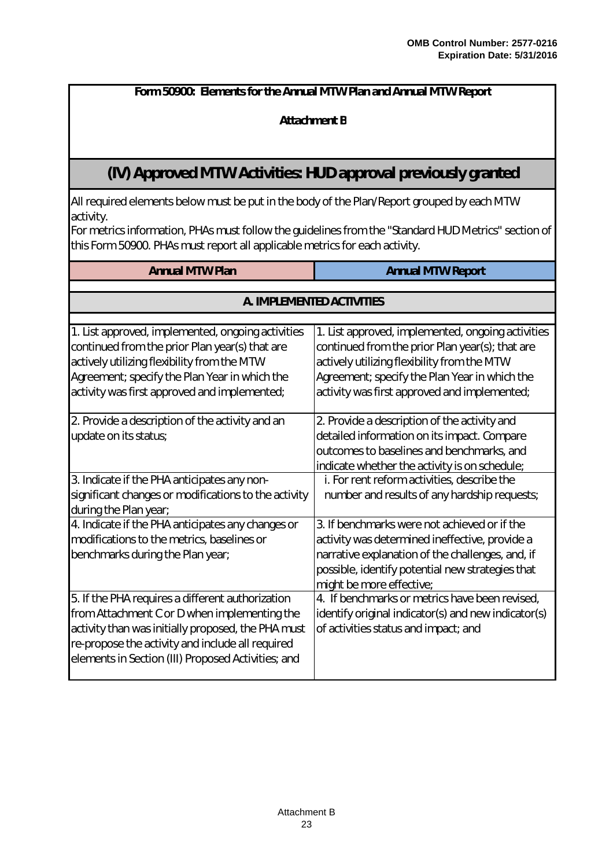### **Attachment B**

## **(IV) Approved MTW Activities: HUD approval previously granted**

All required elements below must be put in the body of the Plan/Report grouped by each MTW activity.

For metrics information, PHAs must follow the guidelines from the "Standard HUD Metrics" section of this Form 50900. PHAs must report all applicable metrics for each activity.

| <b>Annual MTW Plan</b>                               | <b>Annual MTW Report</b>                            |  |  |  |  |
|------------------------------------------------------|-----------------------------------------------------|--|--|--|--|
|                                                      |                                                     |  |  |  |  |
| A. IMPLEMENTED ACTIVITIES                            |                                                     |  |  |  |  |
|                                                      |                                                     |  |  |  |  |
| 1. List approved, implemented, ongoing activities    | 1. List approved, implemented, ongoing activities   |  |  |  |  |
| continued from the prior Plan year(s) that are       | continued from the prior Plan year(s); that are     |  |  |  |  |
| actively utilizing flexibility from the MTW          | actively utilizing flexibility from the MTW         |  |  |  |  |
| Agreement; specify the Plan Year in which the        | Agreement; specify the Plan Year in which the       |  |  |  |  |
| activity was first approved and implemented;         | activity was first approved and implemented;        |  |  |  |  |
| 2. Provide a description of the activity and an      | 2. Provide a description of the activity and        |  |  |  |  |
| update on its status;                                | detailed information on its impact. Compare         |  |  |  |  |
|                                                      | outcomes to baselines and benchmarks, and           |  |  |  |  |
|                                                      | indicate whether the activity is on schedule;       |  |  |  |  |
| 3. Indicate if the PHA anticipates any non-          | i. For rent reform activities, describe the         |  |  |  |  |
| significant changes or modifications to the activity | number and results of any hardship requests;        |  |  |  |  |
| during the Plan year;                                |                                                     |  |  |  |  |
| 4. Indicate if the PHA anticipates any changes or    | 3. If benchmarks were not achieved or if the        |  |  |  |  |
| modifications to the metrics, baselines or           | activity was determined ineffective, provide a      |  |  |  |  |
| benchmarks during the Plan year;                     | narrative explanation of the challenges, and, if    |  |  |  |  |
|                                                      | possible, identify potential new strategies that    |  |  |  |  |
|                                                      | might be more effective;                            |  |  |  |  |
| 5. If the PHA requires a different authorization     | 4. If benchmarks or metrics have been revised,      |  |  |  |  |
| from Attachment C or D when implementing the         | identify original indicator(s) and new indicator(s) |  |  |  |  |
| activity than was initially proposed, the PHA must   | of activities status and impact; and                |  |  |  |  |
| re-propose the activity and include all required     |                                                     |  |  |  |  |
| elements in Section (III) Proposed Activities; and   |                                                     |  |  |  |  |
|                                                      |                                                     |  |  |  |  |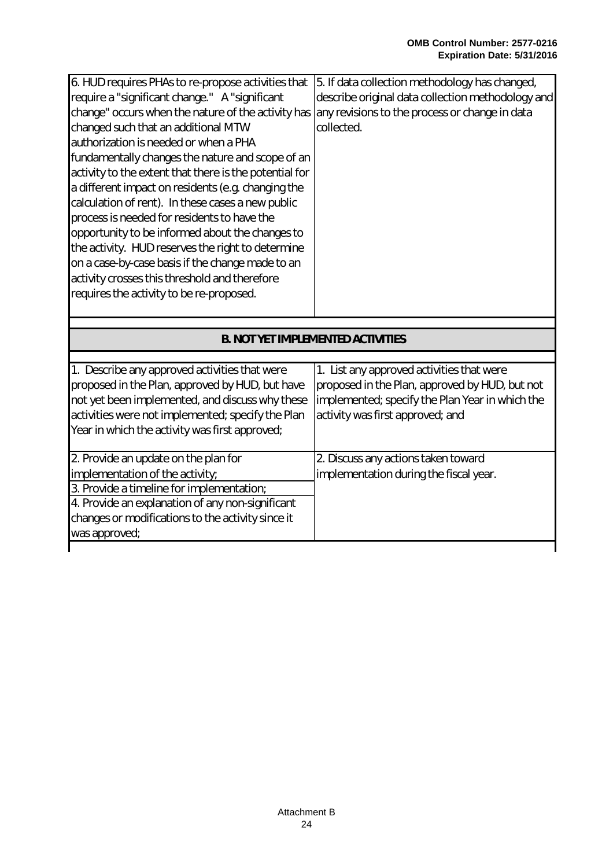| 6. HUD requires PHAs to re-propose activities that     | 5. If data collection methodology has changed,    |
|--------------------------------------------------------|---------------------------------------------------|
| require a "significant change." A "significant         | describe original data collection methodology and |
| change" occurs when the nature of the activity has     | any revisions to the process or change in data    |
| changed such that an additional MTW                    | collected.                                        |
| authorization is needed or when a PHA                  |                                                   |
| fundamentally changes the nature and scope of an       |                                                   |
| activity to the extent that there is the potential for |                                                   |
| a different impact on residents (e.g. changing the     |                                                   |
| calculation of rent). In these cases a new public      |                                                   |
| process is needed for residents to have the            |                                                   |
| opportunity to be informed about the changes to        |                                                   |
| the activity. HUD reserves the right to determine      |                                                   |
| on a case-by-case basis if the change made to an       |                                                   |
| activity crosses this threshold and therefore          |                                                   |
| requires the activity to be re-proposed.               |                                                   |
|                                                        |                                                   |
|                                                        |                                                   |

| <b>B. NOT YET IMPLEMENTED ACTIVITIES</b>                                                                                                                                                                                                                   |                                                                                                                                                                                    |  |  |  |
|------------------------------------------------------------------------------------------------------------------------------------------------------------------------------------------------------------------------------------------------------------|------------------------------------------------------------------------------------------------------------------------------------------------------------------------------------|--|--|--|
|                                                                                                                                                                                                                                                            |                                                                                                                                                                                    |  |  |  |
| 1. Describe any approved activities that were<br>proposed in the Plan, approved by HUD, but have<br>not yet been implemented, and discuss why these<br>activities were not implemented; specify the Plan<br>Year in which the activity was first approved; | 1. List any approved activities that were<br>proposed in the Plan, approved by HUD, but not<br>implemented; specify the Plan Year in which the<br>activity was first approved; and |  |  |  |
| 2. Provide an update on the plan for                                                                                                                                                                                                                       | 2. Discuss any actions taken toward                                                                                                                                                |  |  |  |
| implementation of the activity;                                                                                                                                                                                                                            | implementation during the fiscal year.                                                                                                                                             |  |  |  |
| 3. Provide a timeline for implementation;                                                                                                                                                                                                                  |                                                                                                                                                                                    |  |  |  |
| 4. Provide an explanation of any non-significant                                                                                                                                                                                                           |                                                                                                                                                                                    |  |  |  |
| changes or modifications to the activity since it                                                                                                                                                                                                          |                                                                                                                                                                                    |  |  |  |
| was approved;                                                                                                                                                                                                                                              |                                                                                                                                                                                    |  |  |  |
|                                                                                                                                                                                                                                                            |                                                                                                                                                                                    |  |  |  |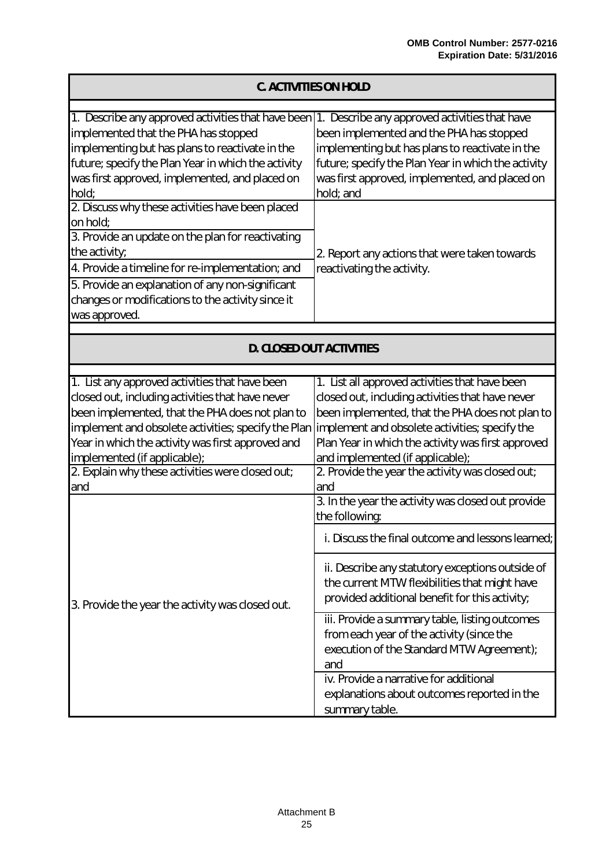| C. ACTIVITIES ON HOLD                                                                                                                                                                                                                                                                                                                                        |                                                                                                                                                                                                                                                                                                                                                                                                                                                                                                                                                |  |  |
|--------------------------------------------------------------------------------------------------------------------------------------------------------------------------------------------------------------------------------------------------------------------------------------------------------------------------------------------------------------|------------------------------------------------------------------------------------------------------------------------------------------------------------------------------------------------------------------------------------------------------------------------------------------------------------------------------------------------------------------------------------------------------------------------------------------------------------------------------------------------------------------------------------------------|--|--|
| 1. Describe any approved activities that have been 1. Describe any approved activities that have<br>implemented that the PHA has stopped<br>implementing but has plans to reactivate in the<br>future; specify the Plan Year in which the activity<br>was first approved, implemented, and placed on<br>hold;                                                | been implemented and the PHA has stopped<br>implementing but has plans to reactivate in the<br>future; specify the Plan Year in which the activity<br>was first approved, implemented, and placed on<br>hold; and                                                                                                                                                                                                                                                                                                                              |  |  |
| 2. Discuss why these activities have been placed<br>on hold;<br>3. Provide an update on the plan for reactivating<br>the activity;<br>4. Provide a timeline for re-implementation; and<br>5. Provide an explanation of any non-significant<br>changes or modifications to the activity since it<br>was approved.                                             | 2. Report any actions that were taken towards<br>reactivating the activity.                                                                                                                                                                                                                                                                                                                                                                                                                                                                    |  |  |
| D. CLOSED OUT ACTIVITIES                                                                                                                                                                                                                                                                                                                                     |                                                                                                                                                                                                                                                                                                                                                                                                                                                                                                                                                |  |  |
| 1. List any approved activities that have been<br>closed out, including activities that have never<br>been implemented, that the PHA does not plan to<br>implement and obsolete activities; specify the Plan<br>Year in which the activity was first approved and<br>implemented (if applicable);<br>2. Explain why these activities were closed out;<br>and | 1. List all approved activities that have been<br>closed out, including activities that have never<br>been implemented, that the PHA does not plan to<br>implement and obsolete activities; specify the<br>Plan Year in which the activity was first approved<br>and implemented (if applicable);<br>2. Provide the year the activity was closed out;<br>and                                                                                                                                                                                   |  |  |
| 3. Provide the year the activity was closed out.                                                                                                                                                                                                                                                                                                             | 3. In the year the activity was closed out provide<br>the following:<br>i. Discuss the final outcome and lessons learned;<br>ii. Describe any statutory exceptions outside of<br>the current MTW flexibilities that might have<br>provided additional benefit for this activity;<br>iii. Provide a summary table, listing outcomes<br>from each year of the activity (since the<br>execution of the Standard MTW Agreement);<br>and<br>iv. Provide a narrative for additional<br>explanations about outcomes reported in the<br>summary table. |  |  |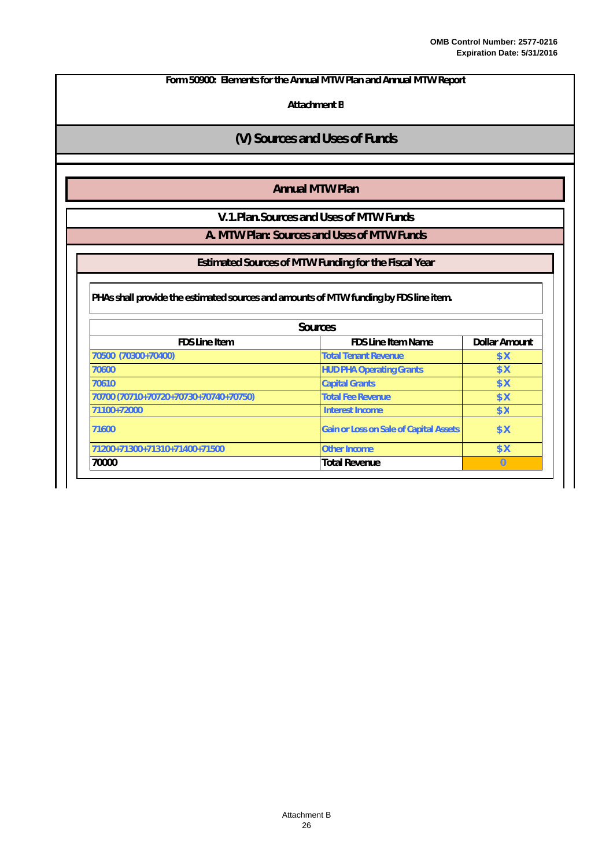**Attachment B**

### **(V) Sources and Uses of Funds**

### **Annual MTW Plan**

**V.1.Plan.Sources and Uses of MTW Funds**

**A. MTW Plan: Sources and Uses of MTW Funds**

**Estimated Sources of MTW Funding for the Fiscal Year**

**PHAs shall provide the estimated sources and amounts of MTW funding by FDS line item.**

| Sources                                                            |                                               |            |  |  |  |
|--------------------------------------------------------------------|-----------------------------------------------|------------|--|--|--|
| Dollar Amount<br><b>FDS Line Item</b><br><b>FDS Line Item Name</b> |                                               |            |  |  |  |
| 70500 (70300+70400)                                                | <b>Total Tenant Revenue</b>                   | \$ X       |  |  |  |
| 70600                                                              | <b>HUD PHA Operating Grants</b>               | <b>\$X</b> |  |  |  |
| 70610                                                              | <b>Capital Grants</b>                         | <b>\$X</b> |  |  |  |
| 70700 (70710+70720+70730+70740+70750)                              | Total Fee Revenue                             | \$ X       |  |  |  |
| 71100+72000                                                        | Interest Income                               | <b>\$X</b> |  |  |  |
| 71600                                                              | <b>Gain or Loss on Sale of Capital Assets</b> | \$ X       |  |  |  |
| 71200+71300+71310+71400+71500                                      | <b>Other Income</b>                           | \$X        |  |  |  |
| 70000                                                              | <b>Total Revenue</b>                          | $\Box$     |  |  |  |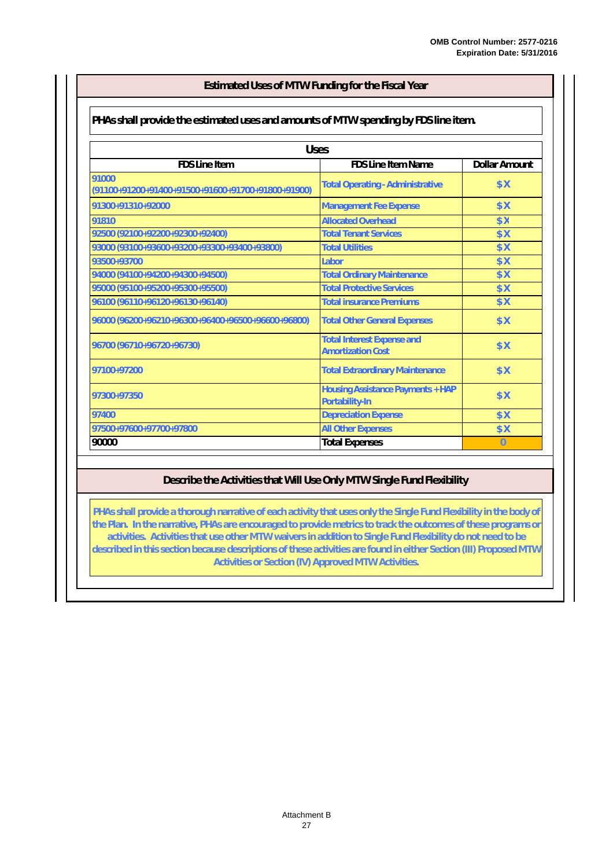#### **Estimated Uses of MTW Funding for the Fiscal Year**

#### **PHAs shall provide the estimated uses and amounts of MTW spending by FDS line item.**

| <b>Uses</b>                                                  |                                                               |      |  |  |  |  |
|--------------------------------------------------------------|---------------------------------------------------------------|------|--|--|--|--|
| FDS Line Item<br><b>FDS Line Item Name</b><br>Dollar Amount  |                                                               |      |  |  |  |  |
| 91000<br>$(91100+91200+91400+91500+91600+91700+91800+91900)$ | <b>Total Operating - Administrative</b>                       | \$X  |  |  |  |  |
| 91300+91310+92000                                            | <b>Management Fee Expense</b>                                 | \$X  |  |  |  |  |
| 91810                                                        | <b>Allocated Overhead</b>                                     | \$ X |  |  |  |  |
| 92500 (92100+92200+92300+92400)                              | <b>Total Tenant Services</b>                                  | \$X  |  |  |  |  |
| 93000 (93100+93600+93200+93300+93400+93800)                  | <b>Total Utilities</b>                                        | \$ X |  |  |  |  |
| 93500+93700                                                  | Labor                                                         | \$X  |  |  |  |  |
| 94000 (94100+94200+94300+94500)                              | <b>Total Ordinary Maintenance</b>                             | \$X  |  |  |  |  |
| 95000 (95100+95200+95300+95500)                              | <b>Total Protective Services</b>                              | \$ X |  |  |  |  |
| 96100 (96110+96120+96130+96140)                              | <b>Total insurance Premiums</b>                               | \$ X |  |  |  |  |
| 96000 (96200+96210+96300+96400+96500+96600+96800)            | <b>Total Other General Expenses</b>                           | \$ X |  |  |  |  |
| 96700 (96710+96720+96730)                                    | <b>Total Interest Expense and</b><br><b>Amortization Cost</b> | \$ X |  |  |  |  |
| 97100+97200                                                  | <b>Total Extraordinary Maintenance</b>                        | \$ X |  |  |  |  |
| 97300+97350                                                  | <b>Housing Assistance Payments + HAP</b><br>Portability-In    |      |  |  |  |  |
| 97400                                                        | <b>Depreciation Expense</b>                                   | \$ X |  |  |  |  |
| 97500+97600+97700+97800                                      | <b>All Other Expenses</b>                                     | \$ X |  |  |  |  |
| 90000                                                        | <b>Total Expenses</b>                                         |      |  |  |  |  |

### **Describe the Activities that Will Use Only MTW Single Fund Flexibility**

**PHAs shall provide a thorough narrative of each activity that uses only the Single Fund Flexibility in the body of the Plan. In the narrative, PHAs are encouraged to provide metrics to track the outcomes of these programs or activities. Activities that use other MTW waivers in addition to Single Fund Flexibility do not need to be described in this section because descriptions of these activities are found in either Section (III) Proposed MTW Activities or Section (IV) Approved MTW Activities.**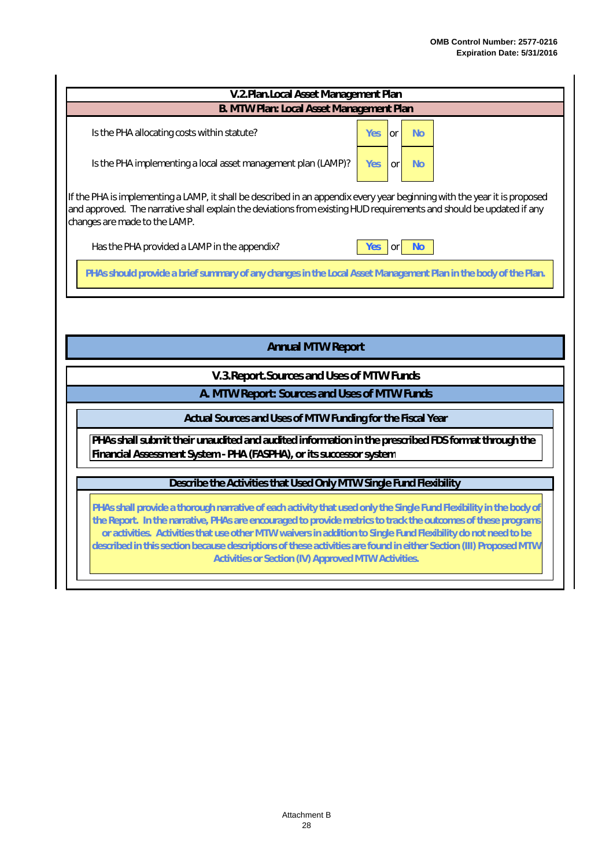| V.2.Plan.Local Asset Management Plan                                                                                                                                                                                                                                               |                                |  |  |  |
|------------------------------------------------------------------------------------------------------------------------------------------------------------------------------------------------------------------------------------------------------------------------------------|--------------------------------|--|--|--|
| B. MTW Plan: Local Asset Management Plan                                                                                                                                                                                                                                           |                                |  |  |  |
| Is the PHA allocating costs within statute?                                                                                                                                                                                                                                        | Yes:<br><b>No</b><br><b>or</b> |  |  |  |
| Is the PHA implementing a local asset management plan (LAMP)?                                                                                                                                                                                                                      | Yes<br><b>No</b><br>or         |  |  |  |
| If the PHA is implementing a LAMP, it shall be described in an appendix every year beginning with the year it is proposed<br>and approved. The narrative shall explain the deviations from existing HUD requirements and should be updated if any<br>changes are made to the LAMP. |                                |  |  |  |
| Has the PHA provided a LAMP in the appendix?                                                                                                                                                                                                                                       | <b>No</b><br>Yes<br>$ $ or $ $ |  |  |  |
| PHAs should provide a brief summary of any changes in the Local Asset Management Plan in the body of the Plan.                                                                                                                                                                     |                                |  |  |  |
|                                                                                                                                                                                                                                                                                    |                                |  |  |  |
|                                                                                                                                                                                                                                                                                    |                                |  |  |  |
| <b>Annual MTW Report</b>                                                                                                                                                                                                                                                           |                                |  |  |  |
| V.3. Report. Sources and Uses of MTW Funds                                                                                                                                                                                                                                         |                                |  |  |  |
| A. MTW Report: Sources and Uses of MTW Funds                                                                                                                                                                                                                                       |                                |  |  |  |
| Actual Sources and Uses of MTW Funding for the Fiscal Year                                                                                                                                                                                                                         |                                |  |  |  |
| PHAs shall submit their unaudited and audited information in the prescribed FDS format through the<br>Financial Assessment System - PHA (FASPHA), or its successor system                                                                                                          |                                |  |  |  |
| Describe the Activities that Used Only MTW Single Fund Flexibility                                                                                                                                                                                                                 |                                |  |  |  |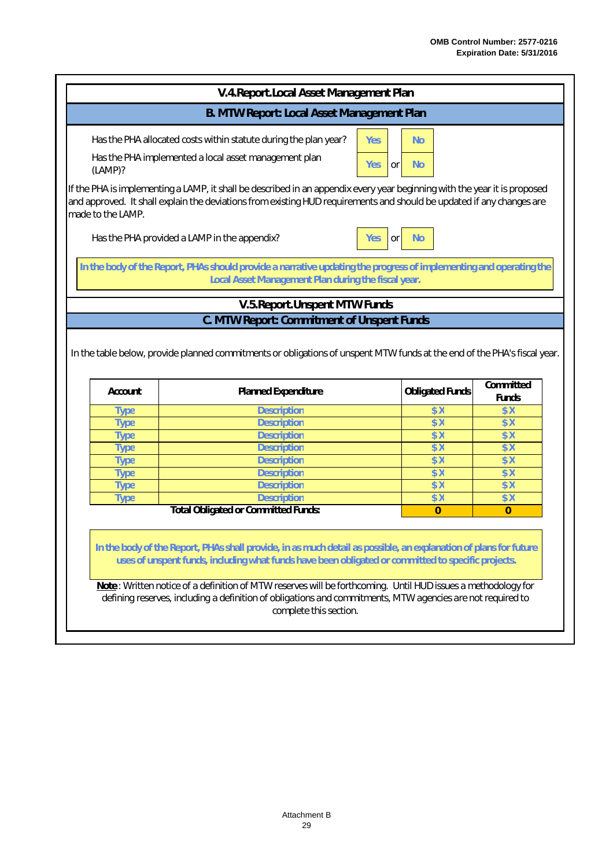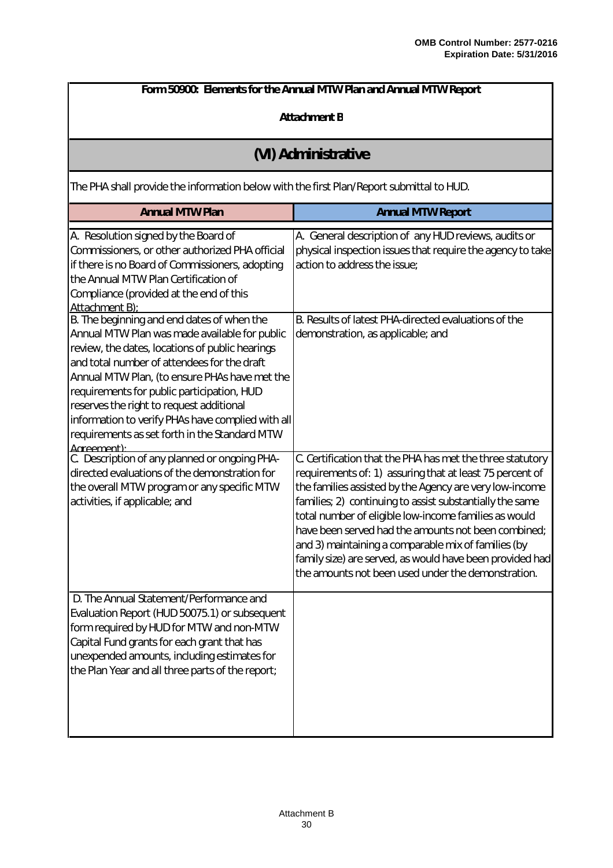| Form 50900: Elements for the Annual MTW Plan and Annual MTW Report                                                                                                                                                                                                                                                                                                                                                                                           |                                                                                                                                                                                                                                                                                                                                                                                                                                                                                                                                       |  |  |  |
|--------------------------------------------------------------------------------------------------------------------------------------------------------------------------------------------------------------------------------------------------------------------------------------------------------------------------------------------------------------------------------------------------------------------------------------------------------------|---------------------------------------------------------------------------------------------------------------------------------------------------------------------------------------------------------------------------------------------------------------------------------------------------------------------------------------------------------------------------------------------------------------------------------------------------------------------------------------------------------------------------------------|--|--|--|
| Attachment B                                                                                                                                                                                                                                                                                                                                                                                                                                                 |                                                                                                                                                                                                                                                                                                                                                                                                                                                                                                                                       |  |  |  |
| (VI) Administrative                                                                                                                                                                                                                                                                                                                                                                                                                                          |                                                                                                                                                                                                                                                                                                                                                                                                                                                                                                                                       |  |  |  |
| The PHA shall provide the information below with the first Plan/Report submittal to HUD.                                                                                                                                                                                                                                                                                                                                                                     |                                                                                                                                                                                                                                                                                                                                                                                                                                                                                                                                       |  |  |  |
| <b>Annual MTW Plan</b>                                                                                                                                                                                                                                                                                                                                                                                                                                       | <b>Annual MTW Report</b>                                                                                                                                                                                                                                                                                                                                                                                                                                                                                                              |  |  |  |
| A. Resolution signed by the Board of<br>Commissioners, or other authorized PHA official<br>if there is no Board of Commissioners, adopting<br>the Annual MTW Plan Certification of<br>Compliance (provided at the end of this<br>Attachment B):                                                                                                                                                                                                              | A. General description of any HUD reviews, audits or<br>physical inspection issues that require the agency to take<br>action to address the issue;                                                                                                                                                                                                                                                                                                                                                                                    |  |  |  |
| B. The beginning and end dates of when the<br>Annual MTW Plan was made available for public<br>review, the dates, locations of public hearings<br>and total number of attendees for the draft<br>Annual MTW Plan, (to ensure PHAs have met the<br>requirements for public participation, HUD<br>reserves the right to request additional<br>information to verify PHAs have complied with all<br>requirements as set forth in the Standard MTW<br>Agreement) | B. Results of latest PHA-directed evaluations of the<br>demonstration, as applicable; and                                                                                                                                                                                                                                                                                                                                                                                                                                             |  |  |  |
| C. Description of any planned or ongoing PHA-<br>directed evaluations of the demonstration for<br>the overall MTW program or any specific MTW<br>activities, if applicable; and                                                                                                                                                                                                                                                                              | C. Certification that the PHA has met the three statutory<br>requirements of: 1) assuring that at least 75 percent of<br>the families assisted by the Agency are very low-income<br>families; 2) continuing to assist substantially the same<br>total number of eligible low-income families as would<br>have been served had the amounts not been combined;<br>and 3) maintaining a comparable mix of families (by<br>family size) are served, as would have been provided had<br>the amounts not been used under the demonstration. |  |  |  |
| D. The Annual Statement/Performance and<br>Evaluation Report (HUD 50075.1) or subsequent<br>form required by HUD for MTW and non-MTW<br>Capital Fund grants for each grant that has<br>unexpended amounts, including estimates for<br>the Plan Year and all three parts of the report;                                                                                                                                                                       |                                                                                                                                                                                                                                                                                                                                                                                                                                                                                                                                       |  |  |  |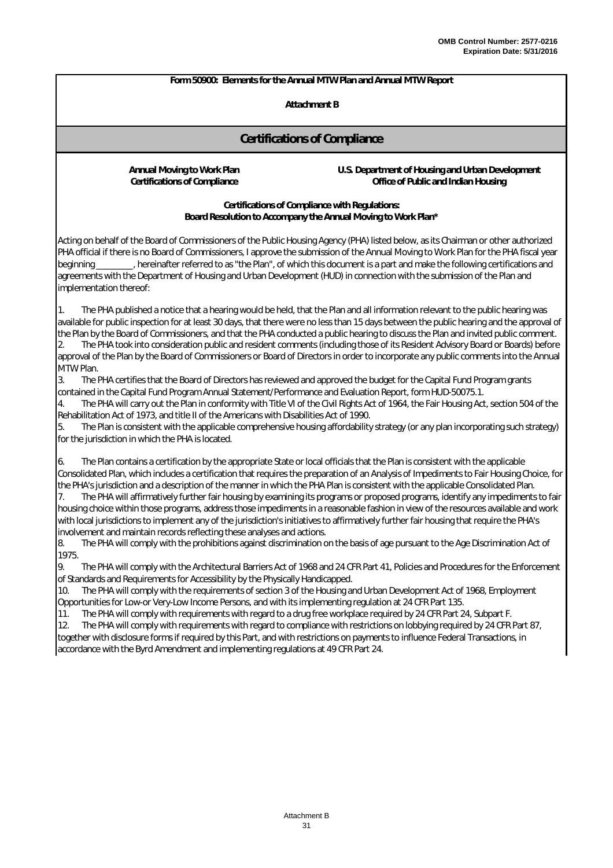#### **Attachment B**

#### **Certifications of Compliance**

**Annual Moving to Work Plan U.S. Department of Housing and Urban Development Certifications of Compliance Office of Public and Indian Housing**

> **Certifications of Compliance with Regulations: Board Resolution to Accompany the Annual Moving to Work Plan\***

Acting on behalf of the Board of Commissioners of the Public Housing Agency (PHA) listed below, as its Chairman or other authorized PHA official if there is no Board of Commissioners, I approve the submission of the Annual Moving to Work Plan for the PHA fiscal year beginning \_\_\_\_\_\_\_\_, hereinafter referred to as "the Plan", of which this document is a part and make the following certifications and agreements with the Department of Housing and Urban Development (HUD) in connection with the submission of the Plan and implementation thereof:

2. The PHA took into consideration public and resident comments (including those of its Resident Advisory Board or Boards) before approval of the Plan by the Board of Commissioners or Board of Directors in order to incorporate any public comments into the Annual MTW Plan. 1. The PHA published a notice that a hearing would be held, that the Plan and all information relevant to the public hearing was available for public inspection for at least 30 days, that there were no less than 15 days between the public hearing and the approval of the Plan by the Board of Commissioners, and that the PHA conducted a public hearing to discuss the Plan and invited public comment.

3. The PHA certifies that the Board of Directors has reviewed and approved the budget for the Capital Fund Program grants contained in the Capital Fund Program Annual Statement/Performance and Evaluation Report, form HUD-50075.1.

4. The PHA will carry out the Plan in conformity with Title VI of the Civil Rights Act of 1964, the Fair Housing Act, section 504 of the Rehabilitation Act of 1973, and title II of the Americans with Disabilities Act of 1990.

5. The Plan is consistent with the applicable comprehensive housing affordability strategy (or any plan incorporating such strategy) for the jurisdiction in which the PHA is located.

The Plan contains a certification by the appropriate State or local officials that the Plan is consistent with the applicable Consolidated Plan, which includes a certification that requires the preparation of an Analysis of Impediments to Fair Housing Choice, for the PHA's jurisdiction and a description of the manner in which the PHA Plan is consistent with the applicable Consolidated Plan.

The PHA will affirmatively further fair housing by examining its programs or proposed programs, identify any impediments to fair housing choice within those programs, address those impediments in a reasonable fashion in view of the resources available and work with local jurisdictions to implement any of the jurisdiction's initiatives to affirmatively further fair housing that require the PHA's involvement and maintain records reflecting these analyses and actions.

8. The PHA will comply with the prohibitions against discrimination on the basis of age pursuant to the Age Discrimination Act of 1975.

9. The PHA will comply with the Architectural Barriers Act of 1968 and 24 CFR Part 41, Policies and Procedures for the Enforcement of Standards and Requirements for Accessibility by the Physically Handicapped.

10. The PHA will comply with the requirements of section 3 of the Housing and Urban Development Act of 1968, Employment Opportunities for Low-or Very-Low Income Persons, and with its implementing regulation at 24 CFR Part 135.

11. The PHA will comply with requirements with regard to a drug free workplace required by 24 CFR Part 24, Subpart F.

12. The PHA will comply with requirements with regard to compliance with restrictions on lobbying required by 24 CFR Part 87, together with disclosure forms if required by this Part, and with restrictions on payments to influence Federal Transactions, in accordance with the Byrd Amendment and implementing regulations at 49 CFR Part 24.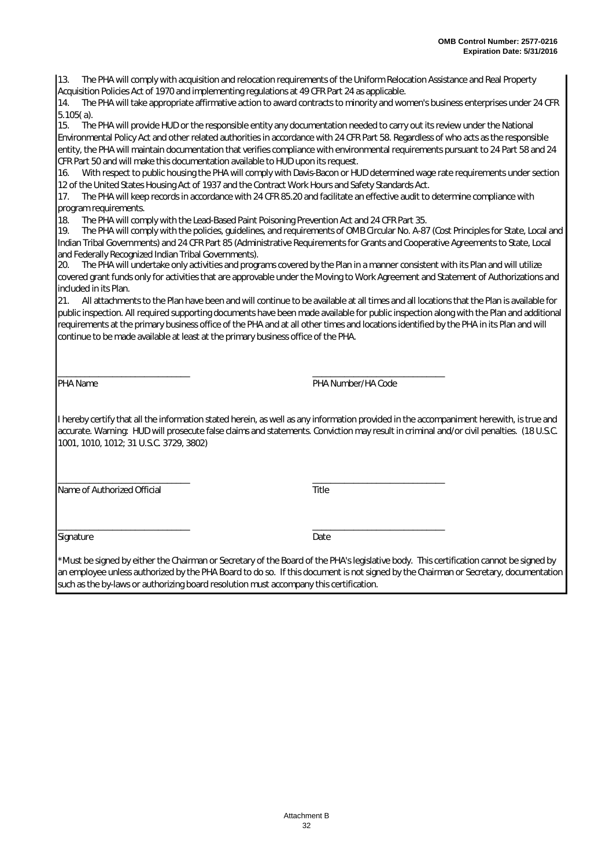13. The PHA will comply with acquisition and relocation requirements of the Uniform Relocation Assistance and Real Property Acquisition Policies Act of 1970 and implementing regulations at 49 CFR Part 24 as applicable.

14. The PHA will take appropriate affirmative action to award contracts to minority and women's business enterprises under 24 CFR 5.105( a).

15. The PHA will provide HUD or the responsible entity any documentation needed to carry out its review under the National Environmental Policy Act and other related authorities in accordance with 24 CFR Part 58. Regardless of who acts as the responsible entity, the PHA will maintain documentation that verifies compliance with environmental requirements pursuant to 24 Part 58 and 24 CFR Part 50 and will make this documentation available to HUD upon its request.

16. With respect to public housing the PHA will comply with Davis-Bacon or HUD determined wage rate requirements under section 12 of the United States Housing Act of 1937 and the Contract Work Hours and Safety Standards Act.

17. The PHA will keep records in accordance with 24 CFR 85.20 and facilitate an effective audit to determine compliance with program requirements.

18. The PHA will comply with the Lead-Based Paint Poisoning Prevention Act and 24 CFR Part 35.

\_\_\_\_\_\_\_\_\_\_\_\_\_\_\_\_\_\_\_\_\_\_\_\_\_\_\_\_\_ \_\_\_\_\_\_\_\_\_\_\_\_\_\_\_\_\_\_\_\_\_\_\_\_\_\_\_\_\_

19. The PHA will comply with the policies, guidelines, and requirements of OMB Circular No. A-87 (Cost Principles for State, Local and Indian Tribal Governments) and 24 CFR Part 85 (Administrative Requirements for Grants and Cooperative Agreements to State, Local and Federally Recognized Indian Tribal Governments).

20. The PHA will undertake only activities and programs covered by the Plan in a manner consistent with its Plan and will utilize covered grant funds only for activities that are approvable under the Moving to Work Agreement and Statement of Authorizations and included in its Plan.

21. All attachments to the Plan have been and will continue to be available at all times and all locations that the Plan is available for public inspection. All required supporting documents have been made available for public inspection along with the Plan and additional requirements at the primary business office of the PHA and at all other times and locations identified by the PHA in its Plan and will continue to be made available at least at the primary business office of the PHA.

PHA Name PHA Number/HA Code

I hereby certify that all the information stated herein, as well as any information provided in the accompaniment herewith, is true and accurate. Warning: HUD will prosecute false claims and statements. Conviction may result in criminal and/or civil penalties. (18 U.S.C. 1001, 1010, 1012; 31 U.S.C. 3729, 3802)

\_\_\_\_\_\_\_\_\_\_\_\_\_\_\_\_\_\_\_\_\_\_\_\_\_\_\_\_\_ \_\_\_\_\_\_\_\_\_\_\_\_\_\_\_\_\_\_\_\_\_\_\_\_\_\_\_\_\_ Name of Authorized Official Title

Signature Date

 $\overline{\phantom{a}}$  ,  $\overline{\phantom{a}}$  ,  $\overline{\phantom{a}}$  ,  $\overline{\phantom{a}}$  ,  $\overline{\phantom{a}}$  ,  $\overline{\phantom{a}}$  ,  $\overline{\phantom{a}}$  ,  $\overline{\phantom{a}}$  ,  $\overline{\phantom{a}}$  ,  $\overline{\phantom{a}}$  ,  $\overline{\phantom{a}}$  ,  $\overline{\phantom{a}}$  ,  $\overline{\phantom{a}}$  ,  $\overline{\phantom{a}}$  ,  $\overline{\phantom{a}}$  ,  $\overline{\phantom{a}}$ 

\*Must be signed by either the Chairman or Secretary of the Board of the PHA's legislative body. This certification cannot be signed by an employee unless authorized by the PHA Board to do so. If this document is not signed by the Chairman or Secretary, documentation such as the by-laws or authorizing board resolution must accompany this certification.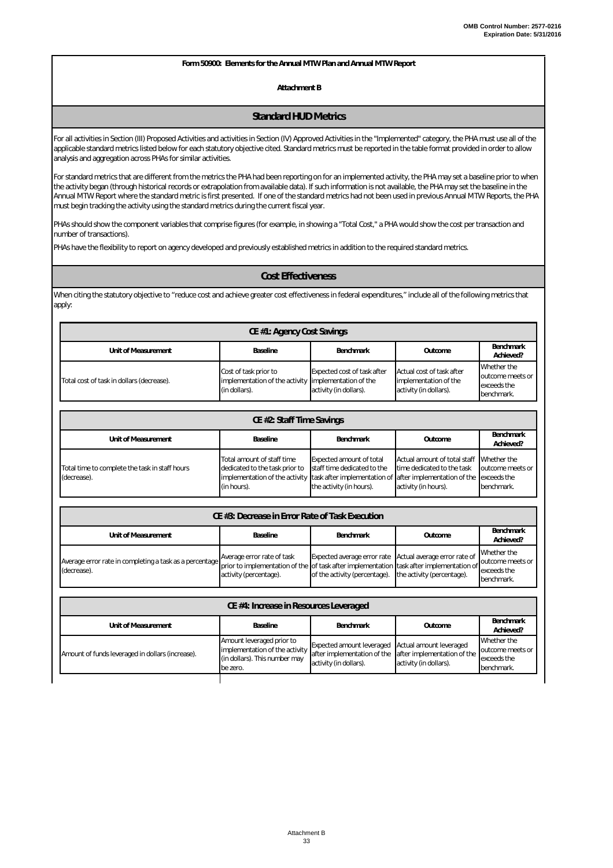**Attachment B**

#### **Standard HUD Metrics**

For all activities in Section (III) Proposed Activities and activities in Section (IV) Approved Activities in the "Implemented" category, the PHA must use all of the applicable standard metrics listed below for each statutory objective cited. Standard metrics must be reported in the table format provided in order to allow analysis and aggregation across PHAs for similar activities.

For standard metrics that are different from the metrics the PHA had been reporting on for an implemented activity, the PHA may set a baseline prior to when the activity began (through historical records or extrapolation from available data). If such information is not available, the PHA may set the baseline in the Annual MTW Report where the standard metric is first presented. If one of the standard metrics had not been used in previous Annual MTW Reports, the PHA must begin tracking the activity using the standard metrics during the current fiscal year.

PHAs should show the component variables that comprise figures (for example, in showing a "Total Cost," a PHA would show the cost per transaction and number of transactions).

PHAs have the flexibility to report on agency developed and previously established metrics in addition to the required standard metrics.

#### *Cost Effectiveness*

When citing the statutory objective to "reduce cost and achieve greater cost effectiveness in federal expenditures," include all of the following metrics that apply:

| CE #1: Agency Cost Savings                                                               |                                                                                                |                                                              |                                                                              |                                                              |  |
|------------------------------------------------------------------------------------------|------------------------------------------------------------------------------------------------|--------------------------------------------------------------|------------------------------------------------------------------------------|--------------------------------------------------------------|--|
| Benchmark<br>Baseline<br>Unit of Measurement<br><b>Benchmark</b><br>Outcome<br>Achieved? |                                                                                                |                                                              |                                                                              |                                                              |  |
| Total cost of task in dollars (decrease).                                                | Cost of task prior to<br>implementation of the activity implementation of the<br>(in dollars). | <b>Expected cost of task after</b><br>activity (in dollars). | Actual cost of task after<br>implementation of the<br>activity (in dollars). | Whether the<br>outcome meets or<br>exceeds the<br>benchmark. |  |

| CE #2: Staff Time Savings                                                                       |                                                                                                                                                                        |                                                                                            |                                                                                                |                                               |
|-------------------------------------------------------------------------------------------------|------------------------------------------------------------------------------------------------------------------------------------------------------------------------|--------------------------------------------------------------------------------------------|------------------------------------------------------------------------------------------------|-----------------------------------------------|
| Benchmark<br>Unit of Measurement<br>Outcome<br><b>Baseline</b><br><b>Benchmark</b><br>Achieved? |                                                                                                                                                                        |                                                                                            |                                                                                                |                                               |
| Total time to complete the task in staff hours<br>(decrease).                                   | Total amount of staff time<br>dedicated to the task prior to<br>implementation of the activity task after implementation of after implementation of the<br>(in hours). | <b>Expected amount of total</b><br>staff time dedicated to the<br>the activity (in hours). | Actual amount of total staff Whether the<br>time dedicated to the task<br>activity (in hours). | outcome meets or<br>exceeds the<br>benchmark. |

| CE #3: Decrease in Error Rate of Task Execution                                                                                                                                                                                               |                        |                                                          |         |                                                              |
|-----------------------------------------------------------------------------------------------------------------------------------------------------------------------------------------------------------------------------------------------|------------------------|----------------------------------------------------------|---------|--------------------------------------------------------------|
| Unit of Measurement                                                                                                                                                                                                                           | <b>Baseline</b>        | <b>Benchmark</b>                                         | Outcome | Benchmark<br>Achieved?                                       |
| Average error rate in completing a task as a percentage Average error rate of task Expected average error rate Actual average error rate of prior to implementation of the of task after implementation task after implementat<br>(decrease). | activity (percentage). | of the activity (percentage). the activity (percentage). |         | Whether the<br>outcome meets or<br>exceeds the<br>benchmark. |

| CE #4: Increase in Resources Leveraged           |                                                                                                          |                                                                                                                       |                                                   |                                                              |
|--------------------------------------------------|----------------------------------------------------------------------------------------------------------|-----------------------------------------------------------------------------------------------------------------------|---------------------------------------------------|--------------------------------------------------------------|
| Unit of Measurement                              | <b>Baseline</b>                                                                                          | <b>Benchmark</b>                                                                                                      | Outcome                                           | Benchmark<br>Achieved?                                       |
| Amount of funds leveraged in dollars (increase). | Amount leveraged prior to<br>implementation of the activity<br>(in dollars). This number may<br>be zero. | <b>Expected amount leveraged</b><br>after implementation of the after implementation of the<br>activity (in dollars). | Actual amount leveraged<br>activity (in dollars). | Whether the<br>outcome meets or<br>exceeds the<br>benchmark. |
|                                                  |                                                                                                          |                                                                                                                       |                                                   |                                                              |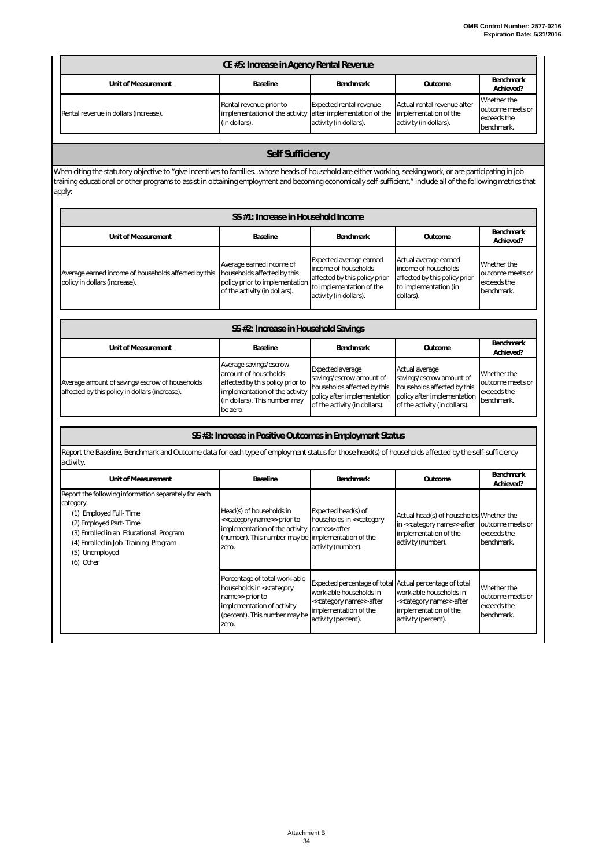| CE #5: Increase in Agency Rental Revenue |                                                                                                        |                                                          |                                                                                |                                                              |
|------------------------------------------|--------------------------------------------------------------------------------------------------------|----------------------------------------------------------|--------------------------------------------------------------------------------|--------------------------------------------------------------|
| Unit of Measurement                      | Baseline                                                                                               | <b>Benchmark</b>                                         | Outcome                                                                        | Benchmark<br>Achieved?                                       |
| Rental revenue in dollars (increase).    | Rental revenue prior to<br>implementation of the activity after implementation of the<br>(in dollars). | <b>Expected rental revenue</b><br>activity (in dollars). | Actual rental revenue after<br>implementation of the<br>activity (in dollars). | Whether the<br>outcome meets or<br>exceeds the<br>benchmark. |
|                                          |                                                                                                        |                                                          |                                                                                |                                                              |

#### *Self Sufficiency*

When citing the statutory objective to "give incentives to families…whose heads of household are either working, seeking work, or are participating in job training educational or other programs to assist in obtaining employment and becoming economically self-sufficient," include all of the following metrics that apply:

| SS #1: Increase in Household Income                                                   |                                                                                                                            |                                                                                                                                        |                                                                                                                      |                                                              |
|---------------------------------------------------------------------------------------|----------------------------------------------------------------------------------------------------------------------------|----------------------------------------------------------------------------------------------------------------------------------------|----------------------------------------------------------------------------------------------------------------------|--------------------------------------------------------------|
| Unit of Measurement                                                                   | <b>Baseline</b>                                                                                                            | <b>Benchmark</b>                                                                                                                       | Outcome                                                                                                              | Benchmark<br>Achieved?                                       |
| Average earned income of households affected by this<br>policy in dollars (increase). | Average earned income of<br>households affected by this<br>policy prior to implementation<br>of the activity (in dollars). | Expected average earned<br>income of households<br>affected by this policy prior<br>to implementation of the<br>activity (in dollars). | Actual average earned<br>income of households<br>affected by this policy prior<br>to implementation (in<br>dollars). | Whether the<br>outcome meets or<br>exceeds the<br>benchmark. |

| SS #2: Increase in Household Savings                                                             |                                                                                                                                                                   |                                                                                                                                                    |                                                                                                                                           |                                                              |
|--------------------------------------------------------------------------------------------------|-------------------------------------------------------------------------------------------------------------------------------------------------------------------|----------------------------------------------------------------------------------------------------------------------------------------------------|-------------------------------------------------------------------------------------------------------------------------------------------|--------------------------------------------------------------|
| Unit of Measurement                                                                              | Baseline                                                                                                                                                          | <b>Benchmark</b>                                                                                                                                   | Outcome                                                                                                                                   | Benchmark<br>Achieved?                                       |
| Average amount of savings/escrow of households<br>affected by this policy in dollars (increase). | Average savings/escrow<br>amount of households<br>affected by this policy prior to<br>implementation of the activity<br>(in dollars). This number may<br>be zero. | <b>Expected average</b><br>savings/escrow amount of<br>households affected by this<br>policy after implementation<br>of the activity (in dollars). | Actual average<br>savings/escrow amount of<br>households affected by this<br>policy after implementation<br>of the activity (in dollars). | Whether the<br>outcome meets or<br>exceeds the<br>benchmark. |

|                                                                                                                                                                                                                                        | SS #3: Increase in Positive Outcomes in Employment Status                                                                                                                    |                                                                                                                                                                                   |                                                                                                                        |                                                              |
|----------------------------------------------------------------------------------------------------------------------------------------------------------------------------------------------------------------------------------------|------------------------------------------------------------------------------------------------------------------------------------------------------------------------------|-----------------------------------------------------------------------------------------------------------------------------------------------------------------------------------|------------------------------------------------------------------------------------------------------------------------|--------------------------------------------------------------|
| Report the Baseline, Benchmark and Outcome data for each type of employment status for those head(s) of households affected by the self-sufficiency<br>activity.                                                                       |                                                                                                                                                                              |                                                                                                                                                                                   |                                                                                                                        |                                                              |
| Unit of Measurement                                                                                                                                                                                                                    | Baseline                                                                                                                                                                     | <b>Benchmark</b>                                                                                                                                                                  | Outcome                                                                                                                | <b>Benchmark</b><br>Achieved?                                |
| Report the following information separately for each<br>category:<br>(1) Employed Full-Time<br>(2) Employed Part-Time<br>(3) Enrolled in an Educational Program<br>(4) Enrolled in Job Training Program<br>(5) Unemployed<br>(6) Other | Head(s) of households in<br>< <category name="">&gt; prior to<br/>implementation of the activity<br/>(number). This number may be implementation of the<br/>zero.</category> | Expected head(s) of<br>households in << category<br>name>> after<br>activity (number).                                                                                            | Actual head(s) of households Whether the<br>in << category name>> after<br>implementation of the<br>activity (number). | outcome meets or<br>exceeds the<br>benchmark.                |
|                                                                                                                                                                                                                                        | Percentage of total work-able<br>households in << category<br>name>> prior to<br>implementation of activity<br>(percent). This number may be<br>zero.                        | Expected percentage of total Actual percentage of total<br>work-able households in<br>< <category name="">&gt; after<br/>implementation of the<br/>activity (percent).</category> | work-able households in<br>< <category name="">&gt; after<br/>implementation of the<br/>activity (percent).</category> | Whether the<br>outcome meets or<br>exceeds the<br>benchmark. |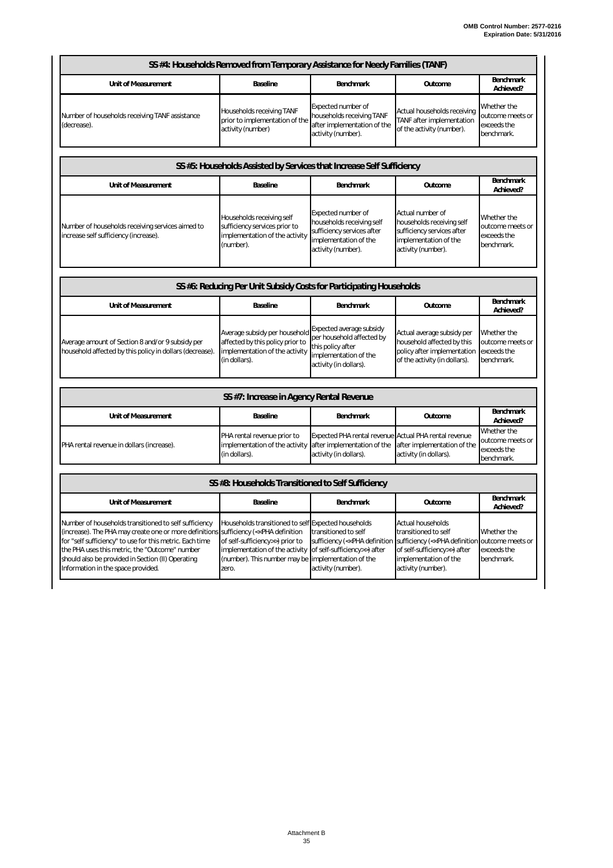| SS #4: Households Removed from Temporary Assistance for Needy Families (TANF)                                                                                                                                                                                                                                            |                                                                                                                                                                                                                       |                                                                                                                                                        |                                                                                                                                                                                    |                                                              |  |
|--------------------------------------------------------------------------------------------------------------------------------------------------------------------------------------------------------------------------------------------------------------------------------------------------------------------------|-----------------------------------------------------------------------------------------------------------------------------------------------------------------------------------------------------------------------|--------------------------------------------------------------------------------------------------------------------------------------------------------|------------------------------------------------------------------------------------------------------------------------------------------------------------------------------------|--------------------------------------------------------------|--|
| Unit of Measurement                                                                                                                                                                                                                                                                                                      | Baseline                                                                                                                                                                                                              | Benchmark                                                                                                                                              | Outcome                                                                                                                                                                            | <b>Benchmark</b><br>Achieved?                                |  |
| Number of households receiving TANF assistance<br>(decrease).                                                                                                                                                                                                                                                            | Households receiving TANF<br>prior to implementation of the<br>activity (number)                                                                                                                                      | Expected number of<br>households receiving TANF<br>after implementation of the<br>activity (number).                                                   | Actual households receiving<br>TANF after implementation<br>of the activity (number).                                                                                              | Whether the<br>putcome meets or<br>exceeds the<br>benchmark. |  |
|                                                                                                                                                                                                                                                                                                                          | SS #5: Households Assisted by Services that Increase Self Sufficiency                                                                                                                                                 |                                                                                                                                                        |                                                                                                                                                                                    |                                                              |  |
| Unit of Measurement                                                                                                                                                                                                                                                                                                      | Baseline                                                                                                                                                                                                              | Benchmark                                                                                                                                              | Outcome                                                                                                                                                                            | <b>Benchmark</b><br>Achieved?                                |  |
| Number of households receiving services aimed to<br>increase self sufficiency (increase).                                                                                                                                                                                                                                | Households receiving self<br>sufficiency services prior to<br>implementation of the activity<br>(number).                                                                                                             | Expected number of<br>households receiving self<br>sufficiency services after<br>implementation of the<br>activity (number).                           | Actual number of<br>households receiving self<br>sufficiency services after<br>implementation of the<br>activity (number).                                                         | Whether the<br>outcome meets or<br>exceeds the<br>benchmark. |  |
|                                                                                                                                                                                                                                                                                                                          | SS #6: Reducing Per Unit Subsidy Costs for Participating Households                                                                                                                                                   |                                                                                                                                                        |                                                                                                                                                                                    |                                                              |  |
| Unit of Measurement                                                                                                                                                                                                                                                                                                      | Baseline                                                                                                                                                                                                              | Benchmark                                                                                                                                              | Outcome                                                                                                                                                                            | Benchmark<br>Achieved?                                       |  |
| Average amount of Section 8 and/or 9 subsidy per<br>household affected by this policy in dollars (decrease).                                                                                                                                                                                                             | Average subsidy per household<br>affected by this policy prior to<br>implementation of the activity<br>(in dollars).                                                                                                  | Expected average subsidy<br>per household affected by<br>this policy after<br>implementation of the<br>activity (in dollars).                          | Actual average subsidy per<br>household affected by this<br>policy after implementation<br>of the activity (in dollars).                                                           | Whether the<br>outcome meets or<br>exceeds the<br>benchmark. |  |
|                                                                                                                                                                                                                                                                                                                          | SS #7: Increase in Agency Rental Revenue                                                                                                                                                                              |                                                                                                                                                        |                                                                                                                                                                                    |                                                              |  |
| Unit of Measurement                                                                                                                                                                                                                                                                                                      | Baseline                                                                                                                                                                                                              | Benchmark                                                                                                                                              | Outcome                                                                                                                                                                            | Benchmark<br>Achieved?                                       |  |
| PHA rental revenue in dollars (increase).                                                                                                                                                                                                                                                                                | PHA rental revenue prior to<br>implementation of the activity<br>(in dollars).                                                                                                                                        | Expected PHA rental revenue Actual PHA rental revenue<br>after implementation of the<br>activity (in dollars).                                         | after implementation of the<br>activity (in dollars).                                                                                                                              | Whether the<br>outcome meets or<br>exceeds the<br>benchmark. |  |
| SS #8: Households Transitioned to Self Sufficiency                                                                                                                                                                                                                                                                       |                                                                                                                                                                                                                       |                                                                                                                                                        |                                                                                                                                                                                    |                                                              |  |
| Unit of Measurement                                                                                                                                                                                                                                                                                                      | Baseline                                                                                                                                                                                                              | Benchmark                                                                                                                                              | Outcome                                                                                                                                                                            | Benchmark<br>Achieved?                                       |  |
| Number of households transitioned to self sufficiency<br>(increase). The PHA may create one or more definitions<br>for "self sufficiency" to use for this metric. Each time<br>the PHA uses this metric, the "Outcome" number<br>should also be provided in Section (II) Operating<br>Information in the space provided. | Households transitioned to self Expected households<br>sufficiency (< <pha definition<br="">of self-sufficiency&gt;&gt;) prior to<br/>implementation of the activity<br/>(number). This number may be<br/>zero.</pha> | transitioned to self<br>sufficiency (< <pha definition<br="">of self-sufficiency&gt;&gt;) after<br/>implementation of the<br/>activity (number).</pha> | <b>Actual households</b><br>transitioned to self<br>sufficiency (<< PHA definition outcome meets or<br>of self-sufficiency>>) after<br>implementation of the<br>activity (number). | Whether the<br>exceeds the<br>benchmark.                     |  |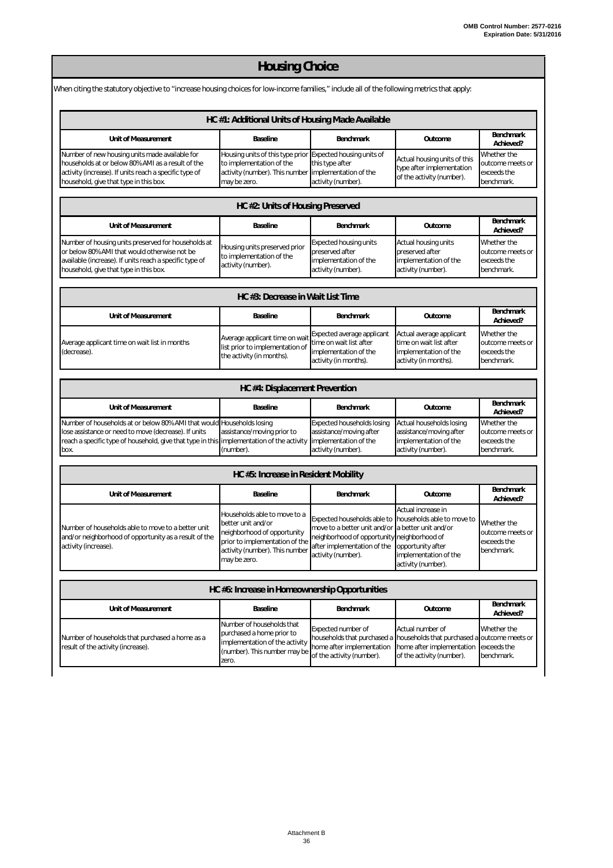#### **Unit of Measurement Baseline Benchmark Outcome Benchmark Achieved?** Number of new housing units made available for households at or below 80% AMI as a result of the activity (increase). If units reach a specific type of household, give that type in this box. Housing units of this type prior to implementation of the activity (number). This number may be zero. Expected housing units of this type after implementation of the activity (number). Actual housing units of this type after implementation of the activity (number). Whether the outcome meets or exceeds the benchmark. **Unit of Measurement Baseline Benchmark Outcome Benchmark Achieved? Unit of Measurement Baseline Benchmark Outcome Benchmark Achieved? Unit of Measurement Baseline Benchmark Outcome Benchmark Achieved?** Number of households at or below 80% AMI that would lose assistance or need to move (decrease). If units reach a specific type of household, give that type in this box. Households losing assistance/moving prior to implementation of the activity (number). Expected households losing assistance/moving after implementation of the activity (number). Actual households losing assistance/moving after implementation of the activity (number). Whether the outcome meets or exceeds the benchmark. **Unit of Measurement Baseline Benchmark Outcome Benchmark Achieved?** Number of households able to move to a better unit and/or neighborhood of opportunity as a result of the activity (increase). Households able to move to a better unit and/or neighborhood of opportunity prior to implementation of the activity (number). This number may be zero. Expected households able to move to a better unit and/or neighborhood of opportunity after implementation of the activity (number). Actual increase in households able to move to a better unit and/or neighborhood of opportunity after implementation of the activity (number). Whether the outcome meets or exceeds the benchmark. **Unit of Measurement Baseline Benchmark Outcome Benchmark Achieved?** *Housing Choice* When citing the statutory objective to "increase housing choices for low-income families," include all of the following metrics that apply: *HC #1: Additional Units of Housing Made Available HC #2: Units of Housing Preserved* Number of housing units preserved for households at or below 80% AMI that would otherwise not be available (increase). If units reach a specific type of household, give that type in this box. Housing units preserved prior to implementation of the activity (number). Expected housing units preserved after implementation of the activity (number). Actual housing units preserved after .<br>implementation of the activity (number). Whether the outcome meets or exceeds the benchmark. *HC #4: Displacement Prevention HC #5: Increase in Resident Mobility HC #6: Increase in Homeownership Opportunities HC #3: Decrease in Wait List Time* Average applicant time on wait list in months (decrease). Average applicant time on wait list prior to implementation of the activity (in months). Expected average applicant time on wait list after implementation of the activity (in months). Actual average applicant time on wait list after implementation of the activity (in months). Whether the outcome meets or exceeds the benchmark.

Number of households that purchased a home as a result of the activity (increase). Number of households that purchased a home prior to .<br>implementation of the activity (number). This number may be zero. Expected number of households that purchased a home after implementation of the activity (number). Actual number of households that purchased a home after implementation of the activity (number). Whether the outcome meets or exceeds the benchmark.